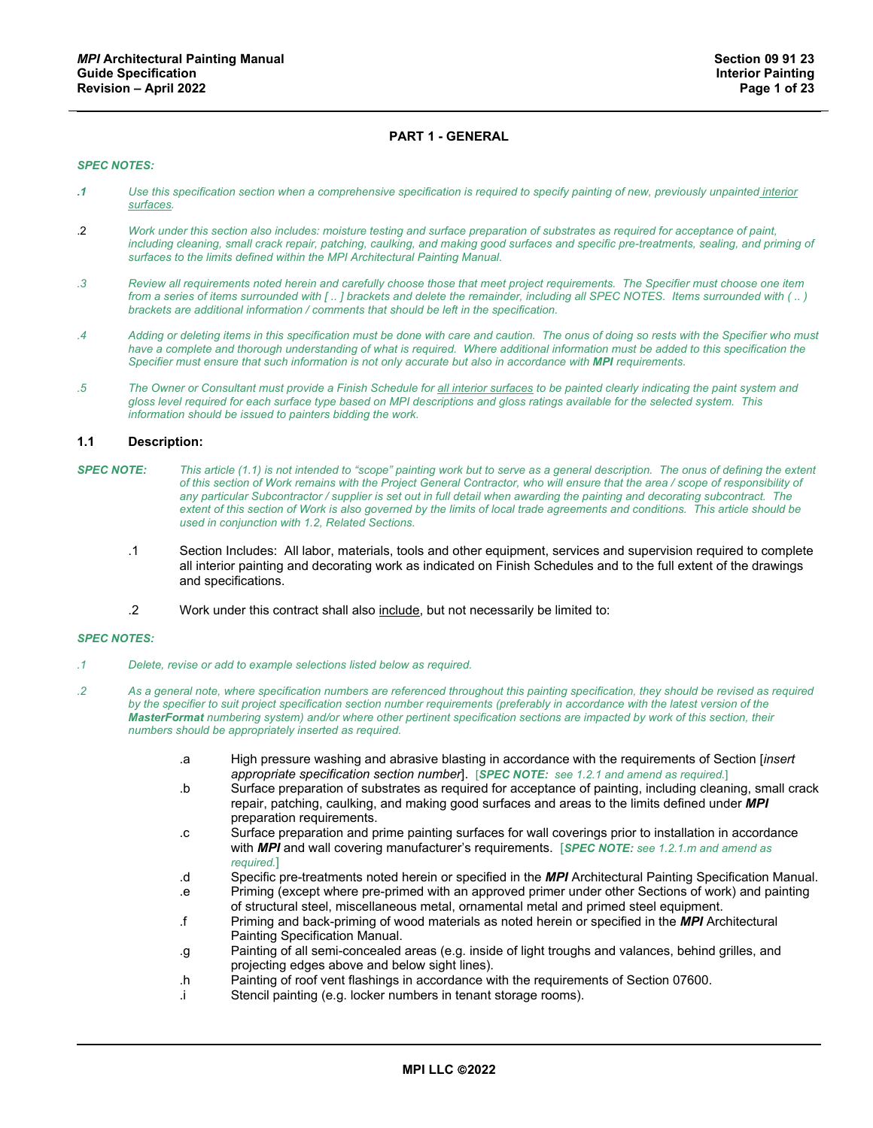# **PART 1 - GENERAL**

### *SPEC NOTES:*

- *.1 Use this specification section when a comprehensive specification is required to specify painting of new, previously unpainted interior surfaces.*
- .2 *Work under this section also includes: moisture testing and surface preparation of substrates as required for acceptance of paint, including cleaning, small crack repair, patching, caulking, and making good surfaces and specific pre-treatments, sealing, and priming of surfaces to the limits defined within the MPI Architectural Painting Manual.*
- *.3 Review all requirements noted herein and carefully choose those that meet project requirements. The Specifier must choose one item from a series of items surrounded with [ .. ] brackets and delete the remainder, including all SPEC NOTES. Items surrounded with ( .. ) brackets are additional information / comments that should be left in the specification.*
- *.4 Adding or deleting items in this specification must be done with care and caution. The onus of doing so rests with the Specifier who must*  have a complete and thorough understanding of what is required. Where additional information must be added to this specification the *Specifier must ensure that such information is not only accurate but also in accordance with MPI requirements.*
- *.5 The Owner or Consultant must provide a Finish Schedule for all interior surfaces to be painted clearly indicating the paint system and gloss level required for each surface type based on MPI descriptions and gloss ratings available for the selected system. This information should be issued to painters bidding the work.*

#### **1.1 Description:**

- *SPEC NOTE: This article (1.1) is not intended to "scope" painting work but to serve as a general description. The onus of defining the extent of this section of Work remains with the Project General Contractor, who will ensure that the area / scope of responsibility of any particular Subcontractor / supplier is set out in full detail when awarding the painting and decorating subcontract. The extent of this section of Work is also governed by the limits of local trade agreements and conditions. This article should be used in conjunction with 1.2, Related Sections.*
	- .1 Section Includes: All labor, materials, tools and other equipment, services and supervision required to complete all interior painting and decorating work as indicated on Finish Schedules and to the full extent of the drawings and specifications.
	- .2 Work under this contract shall also include, but not necessarily be limited to:

#### *SPEC NOTES:*

- *.1 Delete, revise or add to example selections listed below as required.*
- *.2 As a general note, where specification numbers are referenced throughout this painting specification, they should be revised as required*  by the specifier to suit project specification section number requirements (preferably in accordance with the latest version of the *MasterFormat numbering system) and/or where other pertinent specification sections are impacted by work of this section, their numbers should be appropriately inserted as required.*
	- .a High pressure washing and abrasive blasting in accordance with the requirements of Section [*insert appropriate specification section number*]. [*SPEC NOTE: see 1.2.1 and amend as required.*]
	- .b Surface preparation of substrates as required for acceptance of painting, including cleaning, small crack repair, patching, caulking, and making good surfaces and areas to the limits defined under *MPI* preparation requirements.
	- .c Surface preparation and prime painting surfaces for wall coverings prior to installation in accordance with *MPI* and wall covering manufacturer's requirements. [*SPEC NOTE: see 1.2.1.m and amend as required.*]
	- .d Specific pre-treatments noted herein or specified in the *MPI* Architectural Painting Specification Manual.
	- .e Priming (except where pre-primed with an approved primer under other Sections of work) and painting of structural steel, miscellaneous metal, ornamental metal and primed steel equipment.
	- .f Priming and back-priming of wood materials as noted herein or specified in the *MPI* Architectural Painting Specification Manual.
	- .g Painting of all semi-concealed areas (e.g. inside of light troughs and valances, behind grilles, and projecting edges above and below sight lines).
	- .h Painting of roof vent flashings in accordance with the requirements of Section 07600.
	- .i Stencil painting (e.g. locker numbers in tenant storage rooms).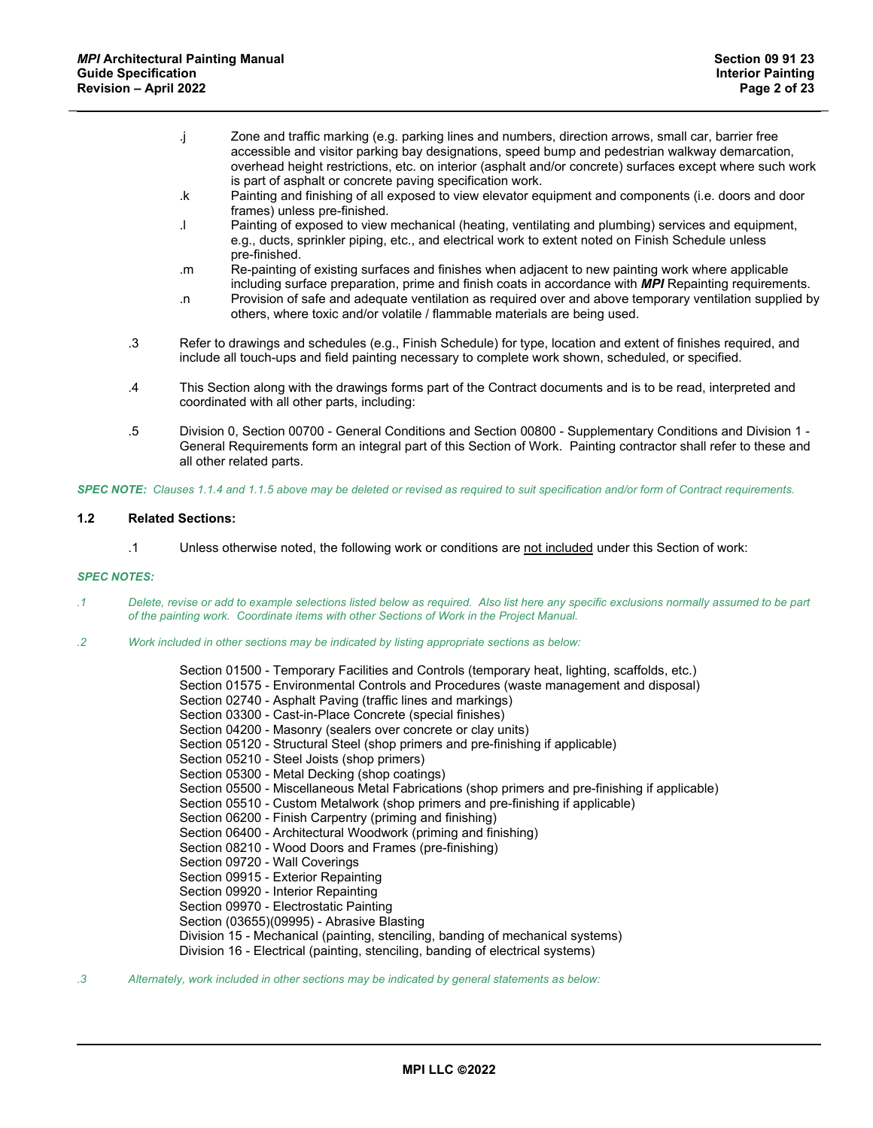- .j Zone and traffic marking (e.g. parking lines and numbers, direction arrows, small car, barrier free accessible and visitor parking bay designations, speed bump and pedestrian walkway demarcation, overhead height restrictions, etc. on interior (asphalt and/or concrete) surfaces except where such work is part of asphalt or concrete paving specification work.
- .k Painting and finishing of all exposed to view elevator equipment and components (i.e. doors and door frames) unless pre-finished.
- .l Painting of exposed to view mechanical (heating, ventilating and plumbing) services and equipment, e.g., ducts, sprinkler piping, etc., and electrical work to extent noted on Finish Schedule unless pre-finished.
- .m Re-painting of existing surfaces and finishes when adjacent to new painting work where applicable including surface preparation, prime and finish coats in accordance with *MPI* Repainting requirements.
- .n Provision of safe and adequate ventilation as required over and above temporary ventilation supplied by others, where toxic and/or volatile / flammable materials are being used.
- .3 Refer to drawings and schedules (e.g., Finish Schedule) for type, location and extent of finishes required, and include all touch-ups and field painting necessary to complete work shown, scheduled, or specified.
- .4 This Section along with the drawings forms part of the Contract documents and is to be read, interpreted and coordinated with all other parts, including:
- .5 Division 0, Section 00700 General Conditions and Section 00800 Supplementary Conditions and Division 1 General Requirements form an integral part of this Section of Work. Painting contractor shall refer to these and all other related parts.

*SPEC NOTE: Clauses 1.1.4 and 1.1.5 above may be deleted or revised as required to suit specification and/or form of Contract requirements.*

# **1.2 Related Sections:**

.1 Unless otherwise noted, the following work or conditions are not included under this Section of work:

# *SPEC NOTES:*

- *.1 Delete, revise or add to example selections listed below as required. Also list here any specific exclusions normally assumed to be part of the painting work. Coordinate items with other Sections of Work in the Project Manual.*
- *.2 Work included in other sections may be indicated by listing appropriate sections as below:*

Section 01500 - Temporary Facilities and Controls (temporary heat, lighting, scaffolds, etc.) Section 01575 - Environmental Controls and Procedures (waste management and disposal) Section 02740 - Asphalt Paving (traffic lines and markings) Section 03300 - Cast-in-Place Concrete (special finishes) Section 04200 - Masonry (sealers over concrete or clay units) Section 05120 - Structural Steel (shop primers and pre-finishing if applicable) Section 05210 - Steel Joists (shop primers) Section 05300 - Metal Decking (shop coatings) Section 05500 - Miscellaneous Metal Fabrications (shop primers and pre-finishing if applicable) Section 05510 - Custom Metalwork (shop primers and pre-finishing if applicable) Section 06200 - Finish Carpentry (priming and finishing) Section 06400 - Architectural Woodwork (priming and finishing) Section 08210 - Wood Doors and Frames (pre-finishing) Section 09720 - Wall Coverings Section 09915 - Exterior Repainting Section 09920 - Interior Repainting Section 09970 - Electrostatic Painting Section (03655)(09995) - Abrasive Blasting Division 15 - Mechanical (painting, stenciling, banding of mechanical systems) Division 16 - Electrical (painting, stenciling, banding of electrical systems)

*.3 Alternately, work included in other sections may be indicated by general statements as below:*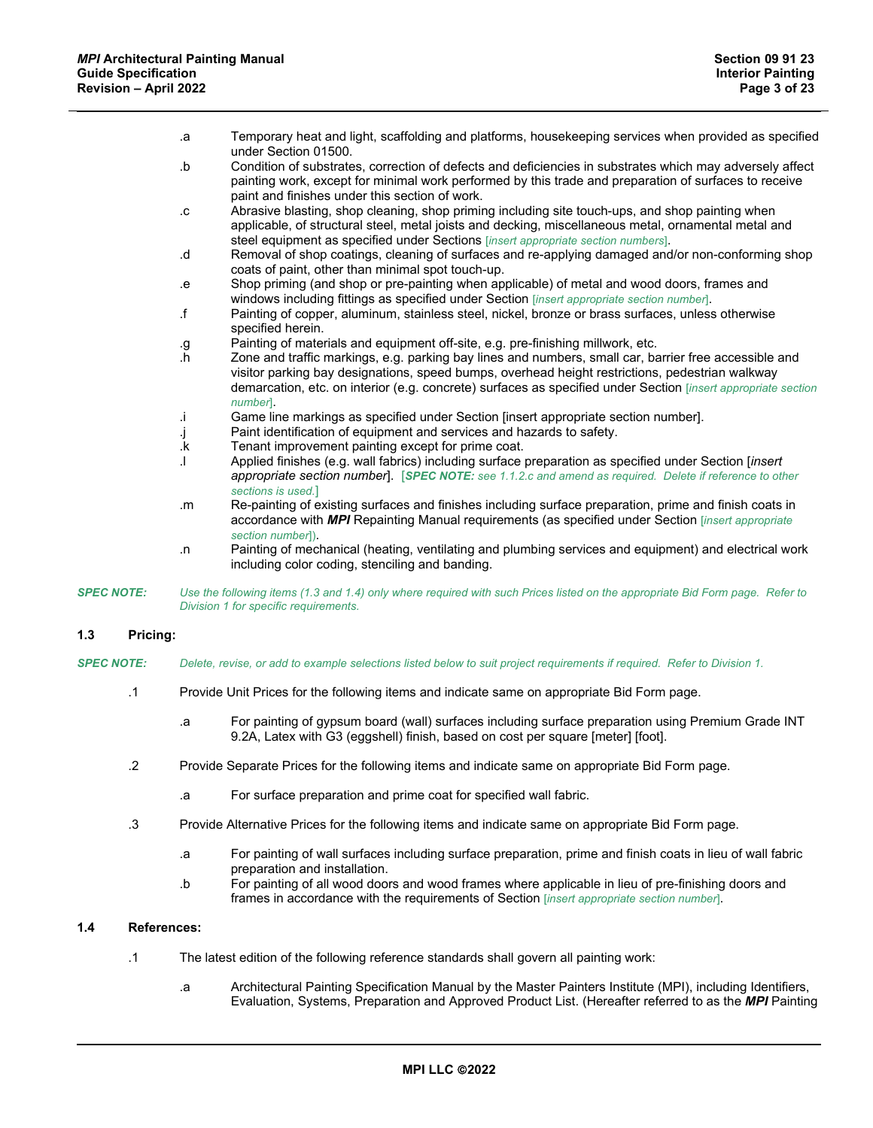| .a        | Temporary heat and light, scaffolding and platforms, housekeeping services when provided as specified<br>under Section 01500.                                                                                                                                                                                                         |
|-----------|---------------------------------------------------------------------------------------------------------------------------------------------------------------------------------------------------------------------------------------------------------------------------------------------------------------------------------------|
| .b        | Condition of substrates, correction of defects and deficiencies in substrates which may adversely affect<br>painting work, except for minimal work performed by this trade and preparation of surfaces to receive<br>paint and finishes under this section of work.                                                                   |
| $\cdot$ C | Abrasive blasting, shop cleaning, shop priming including site touch-ups, and shop painting when<br>applicable, of structural steel, metal joists and decking, miscellaneous metal, ornamental metal and<br>steel equipment as specified under Sections [insert appropriate section numbers].                                          |
| .d        | Removal of shop coatings, cleaning of surfaces and re-applying damaged and/or non-conforming shop<br>coats of paint, other than minimal spot touch-up.                                                                                                                                                                                |
| .e        | Shop priming (and shop or pre-painting when applicable) of metal and wood doors, frames and<br>windows including fittings as specified under Section [insert appropriate section number].                                                                                                                                             |
| $\cdot$ f | Painting of copper, aluminum, stainless steel, nickel, bronze or brass surfaces, unless otherwise<br>specified herein.                                                                                                                                                                                                                |
| .g        | Painting of materials and equipment off-site, e.g. pre-finishing millwork, etc.                                                                                                                                                                                                                                                       |
| .h        | Zone and traffic markings, e.g. parking bay lines and numbers, small car, barrier free accessible and<br>visitor parking bay designations, speed bumps, overhead height restrictions, pedestrian walkway<br>demarcation, etc. on interior (e.g. concrete) surfaces as specified under Section [insert appropriate section<br>number]. |
| j.        | Game line markings as specified under Section [insert appropriate section number].                                                                                                                                                                                                                                                    |
| J.        | Paint identification of equipment and services and hazards to safety.                                                                                                                                                                                                                                                                 |
| .k        | Tenant improvement painting except for prime coat.                                                                                                                                                                                                                                                                                    |
|           | Applied finishes (e.g. wall fabrics) including surface preparation as specified under Section [insert<br>appropriate section number]. [SPEC NOTE: see 1.1.2.c and amend as required. Delete if reference to other<br>sections is used.]                                                                                               |
| .m        | Re-painting of existing surfaces and finishes including surface preparation, prime and finish coats in<br>accordance with MPI Repainting Manual requirements (as specified under Section [insert appropriate                                                                                                                          |

- *section number*]). .n Painting of mechanical (heating, ventilating and plumbing services and equipment) and electrical work including color coding, stenciling and banding.
- *SPEC NOTE: Use the following items (1.3 and 1.4) only where required with such Prices listed on the appropriate Bid Form page. Refer to Division 1 for specific requirements.*

# **1.3 Pricing:**

- *SPEC NOTE: Delete, revise, or add to example selections listed below to suit project requirements if required. Refer to Division 1.*
	- .1 Provide Unit Prices for the following items and indicate same on appropriate Bid Form page.
		- .a For painting of gypsum board (wall) surfaces including surface preparation using Premium Grade INT 9.2A, Latex with G3 (eggshell) finish, based on cost per square [meter] [foot].
	- .2 Provide Separate Prices for the following items and indicate same on appropriate Bid Form page.
		- .a For surface preparation and prime coat for specified wall fabric.
	- .3 Provide Alternative Prices for the following items and indicate same on appropriate Bid Form page.
		- .a For painting of wall surfaces including surface preparation, prime and finish coats in lieu of wall fabric preparation and installation.
		- .b For painting of all wood doors and wood frames where applicable in lieu of pre-finishing doors and frames in accordance with the requirements of Section [*insert appropriate section number*].

## **1.4 References:**

- .1 The latest edition of the following reference standards shall govern all painting work:
	- .a Architectural Painting Specification Manual by the Master Painters Institute (MPI), including Identifiers, Evaluation, Systems, Preparation and Approved Product List. (Hereafter referred to as the *MPI* Painting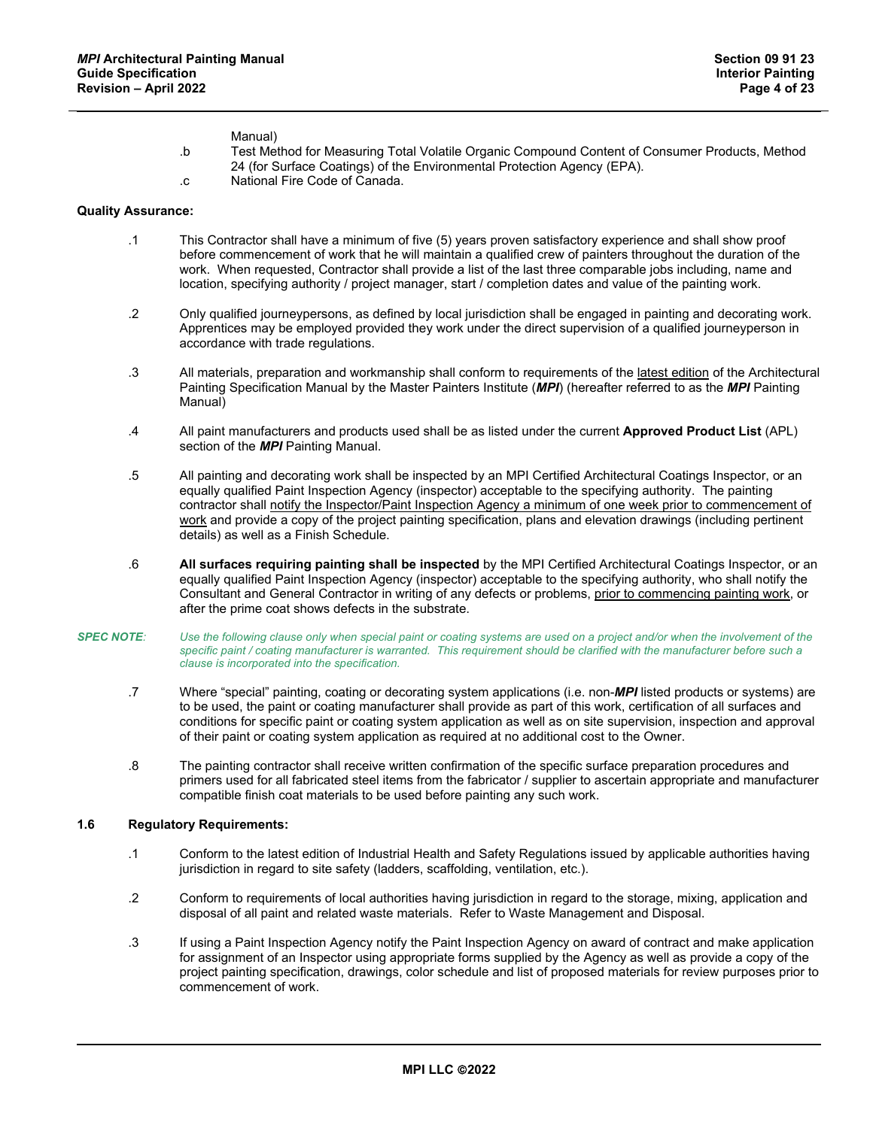## Manual)

- .b Test Method for Measuring Total Volatile Organic Compound Content of Consumer Products, Method 24 (for Surface Coatings) of the Environmental Protection Agency (EPA).
- .c National Fire Code of Canada.

### **Quality Assurance:**

- .1 This Contractor shall have a minimum of five (5) years proven satisfactory experience and shall show proof before commencement of work that he will maintain a qualified crew of painters throughout the duration of the work. When requested, Contractor shall provide a list of the last three comparable jobs including, name and location, specifying authority / project manager, start / completion dates and value of the painting work.
- .2 Only qualified journeypersons, as defined by local jurisdiction shall be engaged in painting and decorating work. Apprentices may be employed provided they work under the direct supervision of a qualified journeyperson in accordance with trade regulations.
- .3 All materials, preparation and workmanship shall conform to requirements of the latest edition of the Architectural Painting Specification Manual by the Master Painters Institute (*MPI*) (hereafter referred to as the *MPI* Painting Manual)
- .4 All paint manufacturers and products used shall be as listed under the current **Approved Product List** (APL) section of the *MPI* Painting Manual.
- .5 All painting and decorating work shall be inspected by an MPI Certified Architectural Coatings Inspector, or an equally qualified Paint Inspection Agency (inspector) acceptable to the specifying authority. The painting contractor shall notify the Inspector/Paint Inspection Agency a minimum of one week prior to commencement of work and provide a copy of the project painting specification, plans and elevation drawings (including pertinent details) as well as a Finish Schedule.
- .6 **All surfaces requiring painting shall be inspected** by the MPI Certified Architectural Coatings Inspector, or an equally qualified Paint Inspection Agency (inspector) acceptable to the specifying authority, who shall notify the Consultant and General Contractor in writing of any defects or problems, prior to commencing painting work, or after the prime coat shows defects in the substrate.
- *SPEC NOTE: Use the following clause only when special paint or coating systems are used on a project and/or when the involvement of the specific paint / coating manufacturer is warranted. This requirement should be clarified with the manufacturer before such a clause is incorporated into the specification.*
	- .7 Where "special" painting, coating or decorating system applications (i.e. non-*MPI* listed products or systems) are to be used, the paint or coating manufacturer shall provide as part of this work, certification of all surfaces and conditions for specific paint or coating system application as well as on site supervision, inspection and approval of their paint or coating system application as required at no additional cost to the Owner.
	- .8 The painting contractor shall receive written confirmation of the specific surface preparation procedures and primers used for all fabricated steel items from the fabricator / supplier to ascertain appropriate and manufacturer compatible finish coat materials to be used before painting any such work.

## **1.6 Regulatory Requirements:**

- .1 Conform to the latest edition of Industrial Health and Safety Regulations issued by applicable authorities having jurisdiction in regard to site safety (ladders, scaffolding, ventilation, etc.).
- .2 Conform to requirements of local authorities having jurisdiction in regard to the storage, mixing, application and disposal of all paint and related waste materials. Refer to Waste Management and Disposal.
- .3 If using a Paint Inspection Agency notify the Paint Inspection Agency on award of contract and make application for assignment of an Inspector using appropriate forms supplied by the Agency as well as provide a copy of the project painting specification, drawings, color schedule and list of proposed materials for review purposes prior to commencement of work.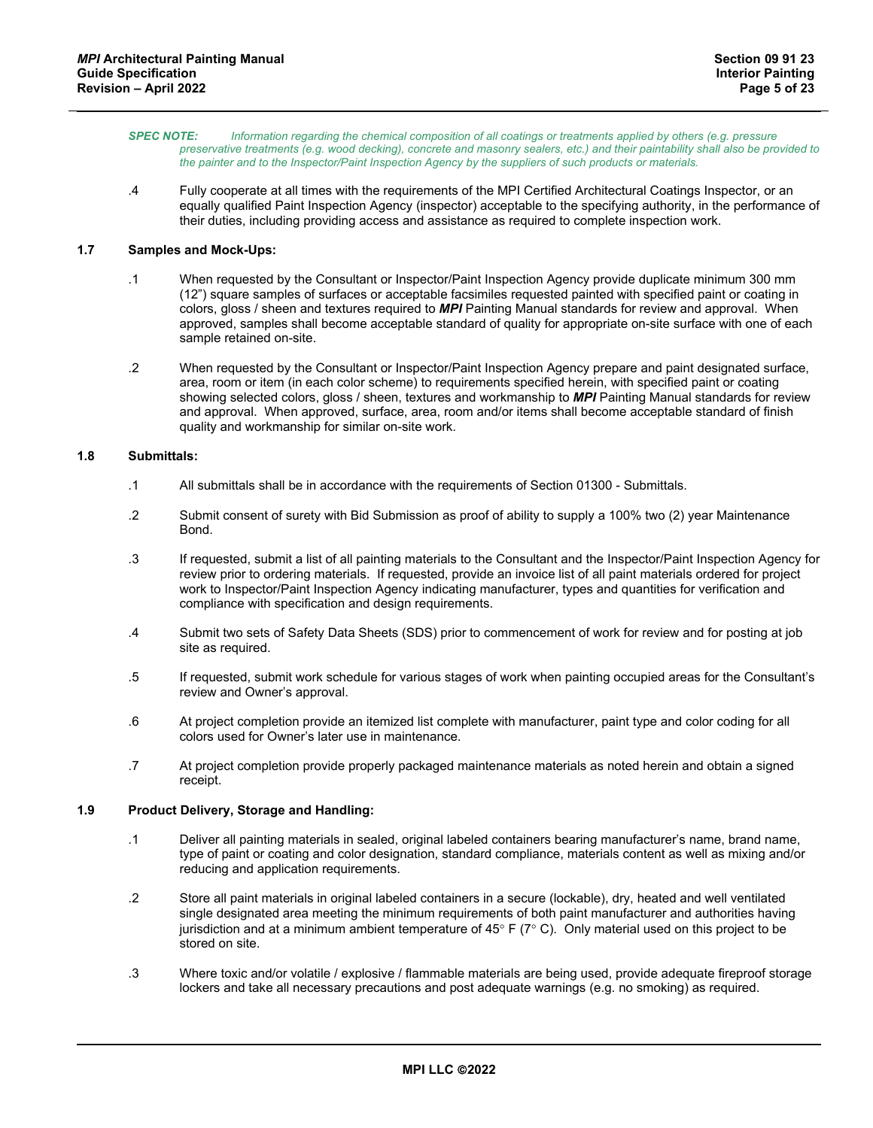- *SPEC NOTE: Information regarding the chemical composition of all coatings or treatments applied by others (e.g. pressure preservative treatments (e.g. wood decking), concrete and masonry sealers, etc.) and their paintability shall also be provided to the painter and to the Inspector/Paint Inspection Agency by the suppliers of such products or materials.*
- .4 Fully cooperate at all times with the requirements of the MPI Certified Architectural Coatings Inspector, or an equally qualified Paint Inspection Agency (inspector) acceptable to the specifying authority, in the performance of their duties, including providing access and assistance as required to complete inspection work.

# **1.7 Samples and Mock-Ups:**

- .1 When requested by the Consultant or Inspector/Paint Inspection Agency provide duplicate minimum 300 mm (12") square samples of surfaces or acceptable facsimiles requested painted with specified paint or coating in colors, gloss / sheen and textures required to *MPI* Painting Manual standards for review and approval. When approved, samples shall become acceptable standard of quality for appropriate on-site surface with one of each sample retained on-site.
- .2 When requested by the Consultant or Inspector/Paint Inspection Agency prepare and paint designated surface, area, room or item (in each color scheme) to requirements specified herein, with specified paint or coating showing selected colors, gloss / sheen, textures and workmanship to *MPI* Painting Manual standards for review and approval. When approved, surface, area, room and/or items shall become acceptable standard of finish quality and workmanship for similar on-site work.

## **1.8 Submittals:**

- .1 All submittals shall be in accordance with the requirements of Section 01300 Submittals.
- .2 Submit consent of surety with Bid Submission as proof of ability to supply a 100% two (2) year Maintenance Bond.
- .3 If requested, submit a list of all painting materials to the Consultant and the Inspector/Paint Inspection Agency for review prior to ordering materials. If requested, provide an invoice list of all paint materials ordered for project work to Inspector/Paint Inspection Agency indicating manufacturer, types and quantities for verification and compliance with specification and design requirements.
- .4 Submit two sets of Safety Data Sheets (SDS) prior to commencement of work for review and for posting at job site as required.
- .5 If requested, submit work schedule for various stages of work when painting occupied areas for the Consultant's review and Owner's approval.
- .6 At project completion provide an itemized list complete with manufacturer, paint type and color coding for all colors used for Owner's later use in maintenance.
- .7 At project completion provide properly packaged maintenance materials as noted herein and obtain a signed receipt.

# **1.9 Product Delivery, Storage and Handling:**

- .1 Deliver all painting materials in sealed, original labeled containers bearing manufacturer's name, brand name, type of paint or coating and color designation, standard compliance, materials content as well as mixing and/or reducing and application requirements.
- .2 Store all paint materials in original labeled containers in a secure (lockable), dry, heated and well ventilated single designated area meeting the minimum requirements of both paint manufacturer and authorities having jurisdiction and at a minimum ambient temperature of 45 $\degree$  F (7 $\degree$  C). Only material used on this project to be stored on site.
- .3 Where toxic and/or volatile / explosive / flammable materials are being used, provide adequate fireproof storage lockers and take all necessary precautions and post adequate warnings (e.g. no smoking) as required.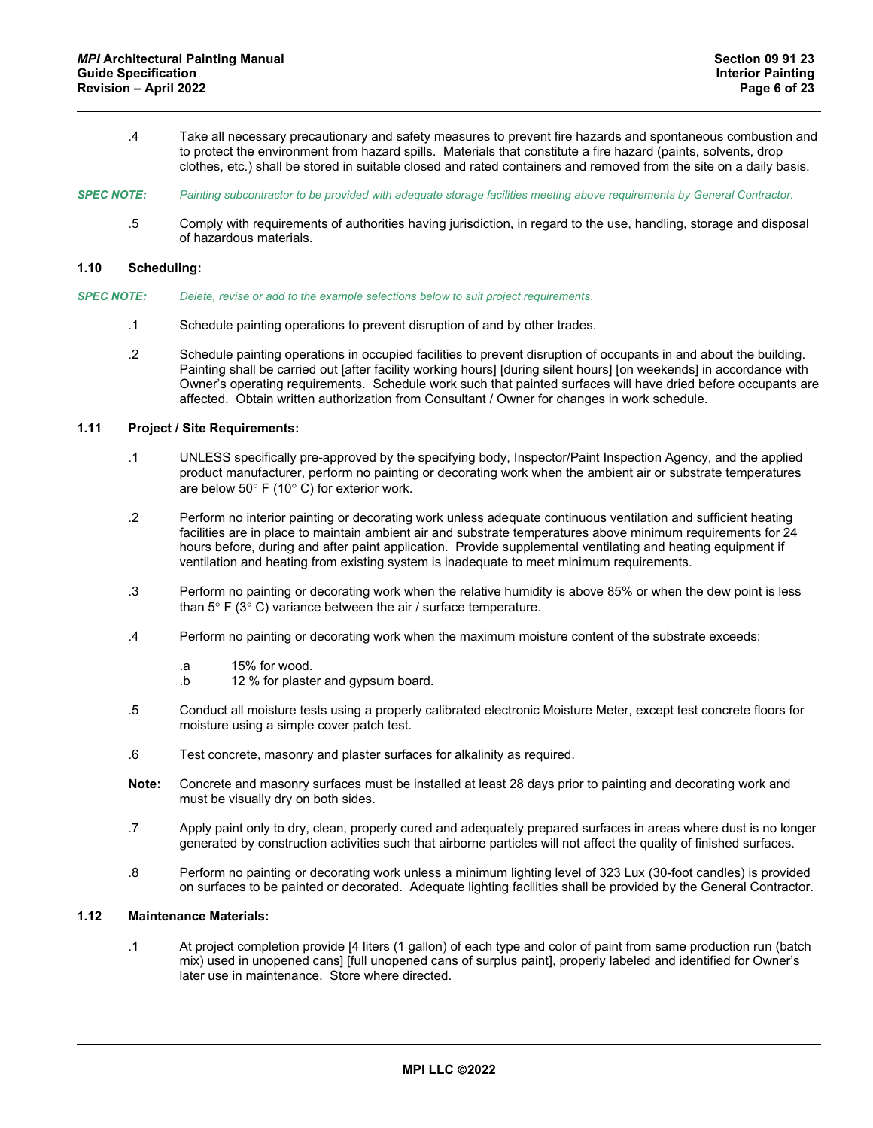- .4 Take all necessary precautionary and safety measures to prevent fire hazards and spontaneous combustion and to protect the environment from hazard spills. Materials that constitute a fire hazard (paints, solvents, drop clothes, etc.) shall be stored in suitable closed and rated containers and removed from the site on a daily basis.
- *SPEC NOTE: Painting subcontractor to be provided with adequate storage facilities meeting above requirements by General Contractor.*
	- .5 Comply with requirements of authorities having jurisdiction, in regard to the use, handling, storage and disposal of hazardous materials.

## **1.10 Scheduling:**

- *SPEC NOTE: Delete, revise or add to the example selections below to suit project requirements*.
	- .1 Schedule painting operations to prevent disruption of and by other trades.
	- .2 Schedule painting operations in occupied facilities to prevent disruption of occupants in and about the building. Painting shall be carried out [after facility working hours] [during silent hours] [on weekends] in accordance with Owner's operating requirements. Schedule work such that painted surfaces will have dried before occupants are affected. Obtain written authorization from Consultant / Owner for changes in work schedule.

## **1.11 Project / Site Requirements:**

- .1 UNLESS specifically pre-approved by the specifying body, Inspector/Paint Inspection Agency, and the applied product manufacturer, perform no painting or decorating work when the ambient air or substrate temperatures are below 50° F (10° C) for exterior work.
- .2 Perform no interior painting or decorating work unless adequate continuous ventilation and sufficient heating facilities are in place to maintain ambient air and substrate temperatures above minimum requirements for 24 hours before, during and after paint application. Provide supplemental ventilating and heating equipment if ventilation and heating from existing system is inadequate to meet minimum requirements.
- .3 Perform no painting or decorating work when the relative humidity is above 85% or when the dew point is less than 5° F (3° C) variance between the air / surface temperature.
- .4 Perform no painting or decorating work when the maximum moisture content of the substrate exceeds:
	- .a 15% for wood.
	- .b 12 % for plaster and gypsum board.
- .5 Conduct all moisture tests using a properly calibrated electronic Moisture Meter, except test concrete floors for moisture using a simple cover patch test.
- .6 Test concrete, masonry and plaster surfaces for alkalinity as required.
- **Note:** Concrete and masonry surfaces must be installed at least 28 days prior to painting and decorating work and must be visually dry on both sides.
- .7 Apply paint only to dry, clean, properly cured and adequately prepared surfaces in areas where dust is no longer generated by construction activities such that airborne particles will not affect the quality of finished surfaces.
- .8 Perform no painting or decorating work unless a minimum lighting level of 323 Lux (30-foot candles) is provided on surfaces to be painted or decorated. Adequate lighting facilities shall be provided by the General Contractor.

# **1.12 Maintenance Materials:**

.1 At project completion provide [4 liters (1 gallon) of each type and color of paint from same production run (batch mix) used in unopened cans] [full unopened cans of surplus paint], properly labeled and identified for Owner's later use in maintenance. Store where directed.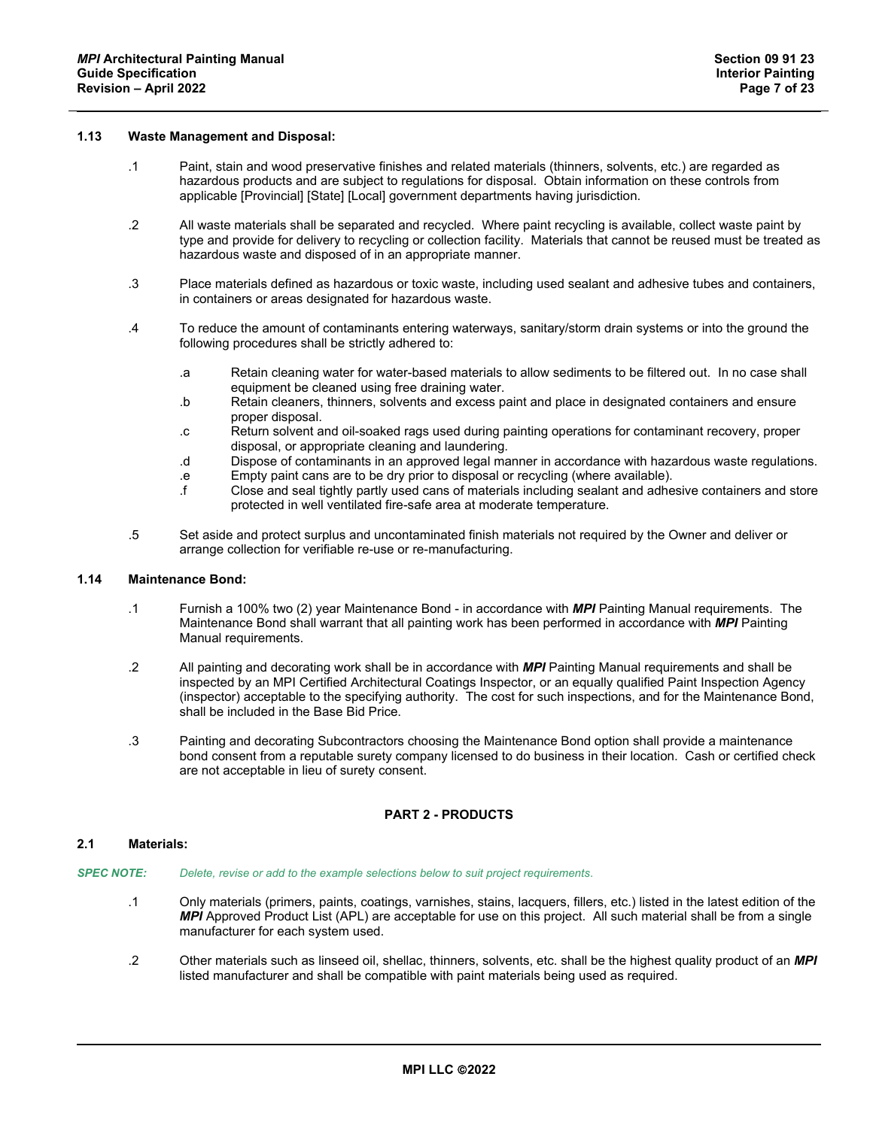## **1.13 Waste Management and Disposal:**

- .1 Paint, stain and wood preservative finishes and related materials (thinners, solvents, etc.) are regarded as hazardous products and are subject to regulations for disposal. Obtain information on these controls from applicable [Provincial] [State] [Local] government departments having jurisdiction.
- .2 All waste materials shall be separated and recycled. Where paint recycling is available, collect waste paint by type and provide for delivery to recycling or collection facility. Materials that cannot be reused must be treated as hazardous waste and disposed of in an appropriate manner.
- .3 Place materials defined as hazardous or toxic waste, including used sealant and adhesive tubes and containers, in containers or areas designated for hazardous waste.
- .4 To reduce the amount of contaminants entering waterways, sanitary/storm drain systems or into the ground the following procedures shall be strictly adhered to:
	- .a Retain cleaning water for water-based materials to allow sediments to be filtered out. In no case shall equipment be cleaned using free draining water.
	- .b Retain cleaners, thinners, solvents and excess paint and place in designated containers and ensure proper disposal.
	- .c Return solvent and oil-soaked rags used during painting operations for contaminant recovery, proper disposal, or appropriate cleaning and laundering.
	- .d Dispose of contaminants in an approved legal manner in accordance with hazardous waste regulations.
	- .e Empty paint cans are to be dry prior to disposal or recycling (where available).
	- .f Close and seal tightly partly used cans of materials including sealant and adhesive containers and store protected in well ventilated fire-safe area at moderate temperature.
- .5 Set aside and protect surplus and uncontaminated finish materials not required by the Owner and deliver or arrange collection for verifiable re-use or re-manufacturing.

### **1.14 Maintenance Bond:**

- .1 Furnish a 100% two (2) year Maintenance Bond in accordance with *MPI* Painting Manual requirements. The Maintenance Bond shall warrant that all painting work has been performed in accordance with *MPI* Painting Manual requirements.
- .2 All painting and decorating work shall be in accordance with *MPI* Painting Manual requirements and shall be inspected by an MPI Certified Architectural Coatings Inspector, or an equally qualified Paint Inspection Agency (inspector) acceptable to the specifying authority. The cost for such inspections, and for the Maintenance Bond, shall be included in the Base Bid Price.
- .3 Painting and decorating Subcontractors choosing the Maintenance Bond option shall provide a maintenance bond consent from a reputable surety company licensed to do business in their location. Cash or certified check are not acceptable in lieu of surety consent.

# **PART 2 - PRODUCTS**

#### **2.1 Materials:**

- *SPEC NOTE: Delete, revise or add to the example selections below to suit project requirements*.
	- .1 Only materials (primers, paints, coatings, varnishes, stains, lacquers, fillers, etc.) listed in the latest edition of the *MPI* Approved Product List (APL) are acceptable for use on this project. All such material shall be from a single manufacturer for each system used.
	- .2 Other materials such as linseed oil, shellac, thinners, solvents, etc. shall be the highest quality product of an *MPI* listed manufacturer and shall be compatible with paint materials being used as required.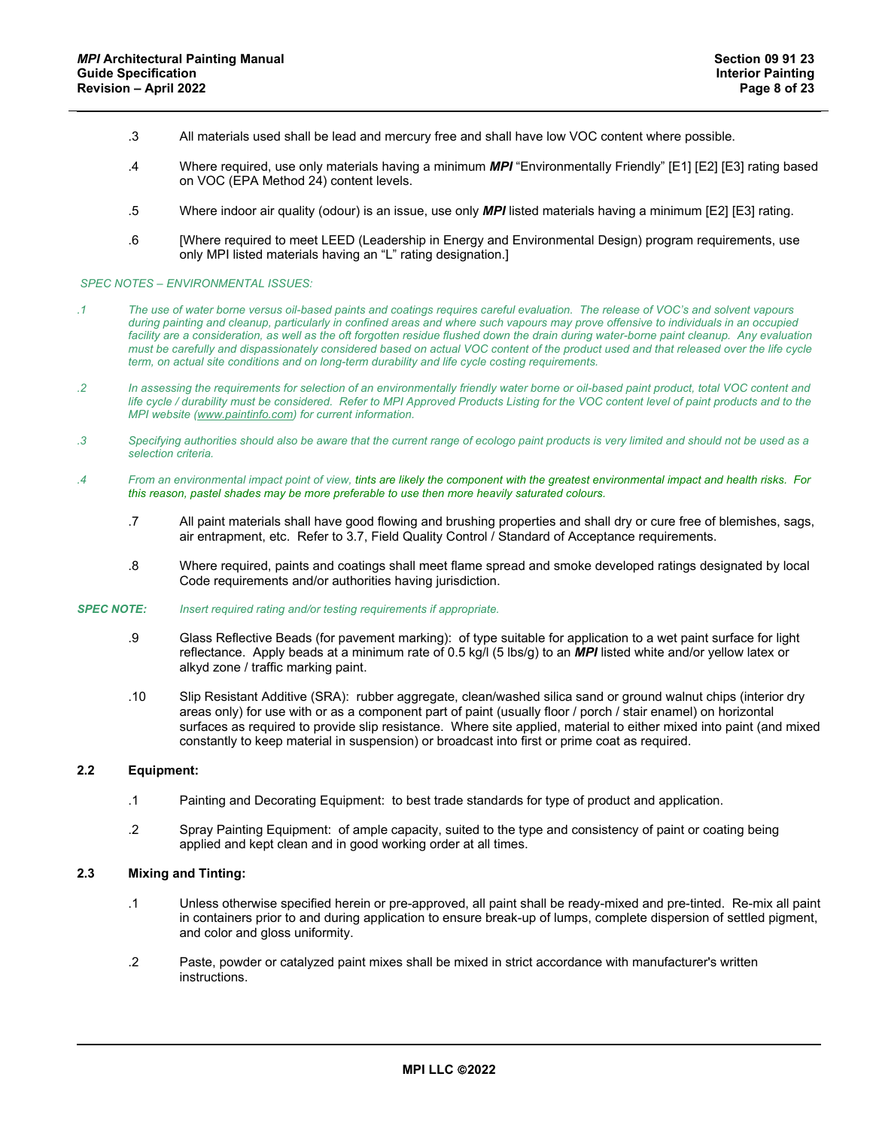- .3 All materials used shall be lead and mercury free and shall have low VOC content where possible.
- .4 Where required, use only materials having a minimum *MPI* "Environmentally Friendly" [E1] [E2] [E3] rating based on VOC (EPA Method 24) content levels.
- .5 Where indoor air quality (odour) is an issue, use only *MPI* listed materials having a minimum [E2] [E3] rating.
- .6 [Where required to meet LEED (Leadership in Energy and Environmental Design) program requirements, use only MPI listed materials having an "L" rating designation.]

#### *SPEC NOTES – ENVIRONMENTAL ISSUES:*

- *.1 The use of water borne versus oil-based paints and coatings requires careful evaluation. The release of VOC's and solvent vapours during painting and cleanup, particularly in confined areas and where such vapours may prove offensive to individuals in an occupied*  facility are a consideration, as well as the oft forgotten residue flushed down the drain during water-borne paint cleanup. Any evaluation *must be carefully and dispassionately considered based on actual VOC content of the product used and that released over the life cycle term, on actual site conditions and on long-term durability and life cycle costing requirements.*
- *.2 In assessing the requirements for selection of an environmentally friendly water borne or oil-based paint product, total VOC content and life cycle / durability must be considered. Refer to MPI Approved Products Listing for the VOC content level of paint products and to the MPI website [\(www.paintinfo.com\)](http://www.paintinfo.com/) for current information.*
- *.3 Specifying authorities should also be aware that the current range of ecologo paint products is very limited and should not be used as a selection criteria.*
- *.4 From an environmental impact point of view, tints are likely the component with the greatest environmental impact and health risks. For this reason, pastel shades may be more preferable to use then more heavily saturated colours.* 
	- .7 All paint materials shall have good flowing and brushing properties and shall dry or cure free of blemishes, sags, air entrapment, etc. Refer to 3.7, Field Quality Control / Standard of Acceptance requirements.
	- .8 Where required, paints and coatings shall meet flame spread and smoke developed ratings designated by local Code requirements and/or authorities having jurisdiction.

#### *SPEC NOTE: Insert required rating and/or testing requirements if appropriate.*

- .9 Glass Reflective Beads (for pavement marking): of type suitable for application to a wet paint surface for light reflectance. Apply beads at a minimum rate of 0.5 kg/l (5 lbs/g) to an *MPI* listed white and/or yellow latex or alkyd zone / traffic marking paint.
- .10 Slip Resistant Additive (SRA): rubber aggregate, clean/washed silica sand or ground walnut chips (interior dry areas only) for use with or as a component part of paint (usually floor / porch / stair enamel) on horizontal surfaces as required to provide slip resistance. Where site applied, material to either mixed into paint (and mixed constantly to keep material in suspension) or broadcast into first or prime coat as required.

## **2.2 Equipment:**

- .1 Painting and Decorating Equipment: to best trade standards for type of product and application.
- .2 Spray Painting Equipment: of ample capacity, suited to the type and consistency of paint or coating being applied and kept clean and in good working order at all times.

## **2.3 Mixing and Tinting:**

- .1 Unless otherwise specified herein or pre-approved, all paint shall be ready-mixed and pre-tinted. Re-mix all paint in containers prior to and during application to ensure break-up of lumps, complete dispersion of settled pigment, and color and gloss uniformity.
- .2 Paste, powder or catalyzed paint mixes shall be mixed in strict accordance with manufacturer's written instructions.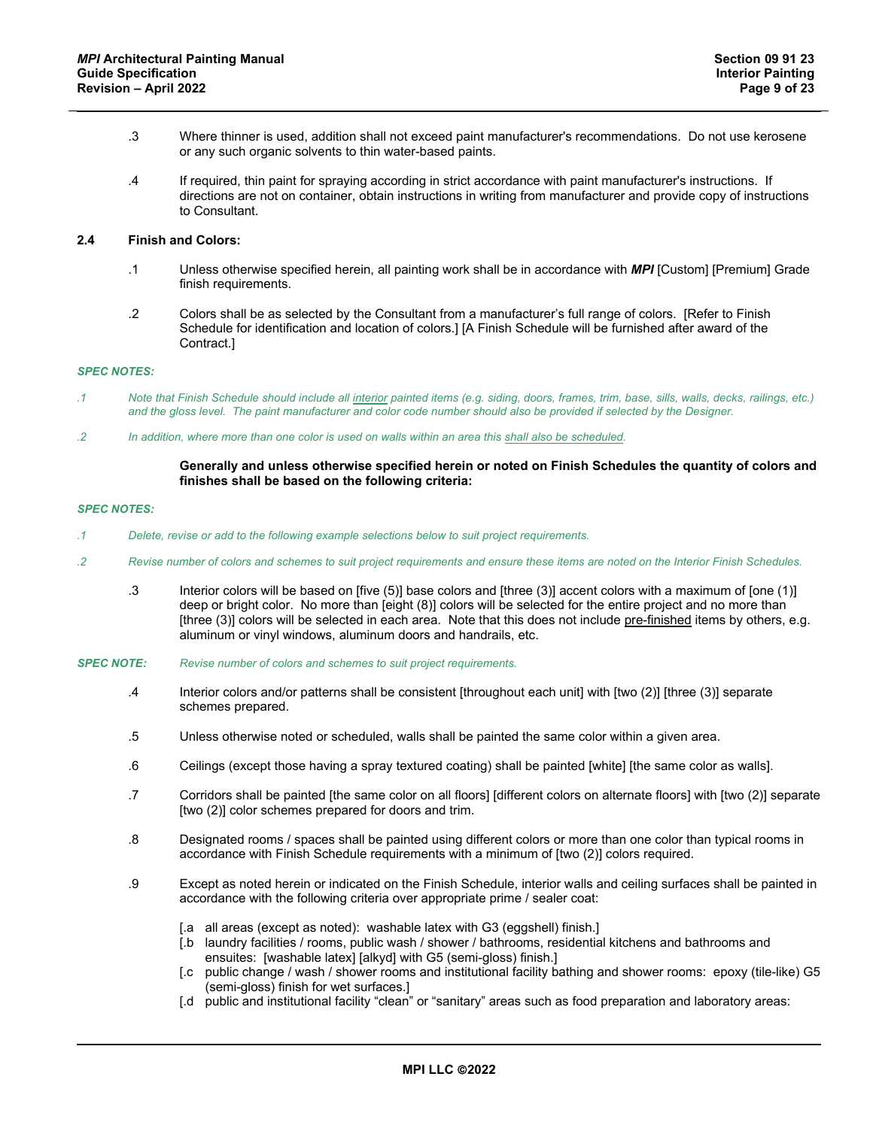- .3 Where thinner is used, addition shall not exceed paint manufacturer's recommendations. Do not use kerosene or any such organic solvents to thin water-based paints.
- .4 If required, thin paint for spraying according in strict accordance with paint manufacturer's instructions. If directions are not on container, obtain instructions in writing from manufacturer and provide copy of instructions to Consultant.

## **2.4 Finish and Colors:**

- .1 Unless otherwise specified herein, all painting work shall be in accordance with *MPI* [Custom] [Premium] Grade finish requirements.
- .2 Colors shall be as selected by the Consultant from a manufacturer's full range of colors. [Refer to Finish Schedule for identification and location of colors.] [A Finish Schedule will be furnished after award of the Contract.]

#### *SPEC NOTES:*

- *.1 Note that Finish Schedule should include all interior painted items (e.g. siding, doors, frames, trim, base, sills, walls, decks, railings, etc.) and the gloss level. The paint manufacturer and color code number should also be provided if selected by the Designer.*
- *.2 In addition, where more than one color is used on walls within an area this shall also be scheduled.*

## **Generally and unless otherwise specified herein or noted on Finish Schedules the quantity of colors and finishes shall be based on the following criteria:**

#### *SPEC NOTES:*

- *.1 Delete, revise or add to the following example selections below to suit project requirements.*
- *.2 Revise number of colors and schemes to suit project requirements and ensure these items are noted on the Interior Finish Schedules.*
	- .3 Interior colors will be based on [five (5)] base colors and [three (3)] accent colors with a maximum of [one (1)] deep or bright color. No more than [eight (8)] colors will be selected for the entire project and no more than [three (3)] colors will be selected in each area. Note that this does not include pre-finished items by others, e.g. aluminum or vinyl windows, aluminum doors and handrails, etc.
- *SPEC NOTE: Revise number of colors and schemes to suit project requirements.*
	- .4 Interior colors and/or patterns shall be consistent [throughout each unit] with [two (2)] [three (3)] separate schemes prepared.
	- .5 Unless otherwise noted or scheduled, walls shall be painted the same color within a given area.
	- .6 Ceilings (except those having a spray textured coating) shall be painted [white] [the same color as walls].
	- .7 Corridors shall be painted [the same color on all floors] [different colors on alternate floors] with [two (2)] separate [two (2)] color schemes prepared for doors and trim.
	- .8 Designated rooms / spaces shall be painted using different colors or more than one color than typical rooms in accordance with Finish Schedule requirements with a minimum of [two (2)] colors required.
	- .9 Except as noted herein or indicated on the Finish Schedule, interior walls and ceiling surfaces shall be painted in accordance with the following criteria over appropriate prime / sealer coat:
		- [.a all areas (except as noted): washable latex with G3 (eggshell) finish.]
		- [.b laundry facilities / rooms, public wash / shower / bathrooms, residential kitchens and bathrooms and ensuites: [washable latex] [alkyd] with G5 (semi-gloss) finish.]
		- [.c public change / wash / shower rooms and institutional facility bathing and shower rooms: epoxy (tile-like) G5 (semi-gloss) finish for wet surfaces.]
		- [.d public and institutional facility "clean" or "sanitary" areas such as food preparation and laboratory areas: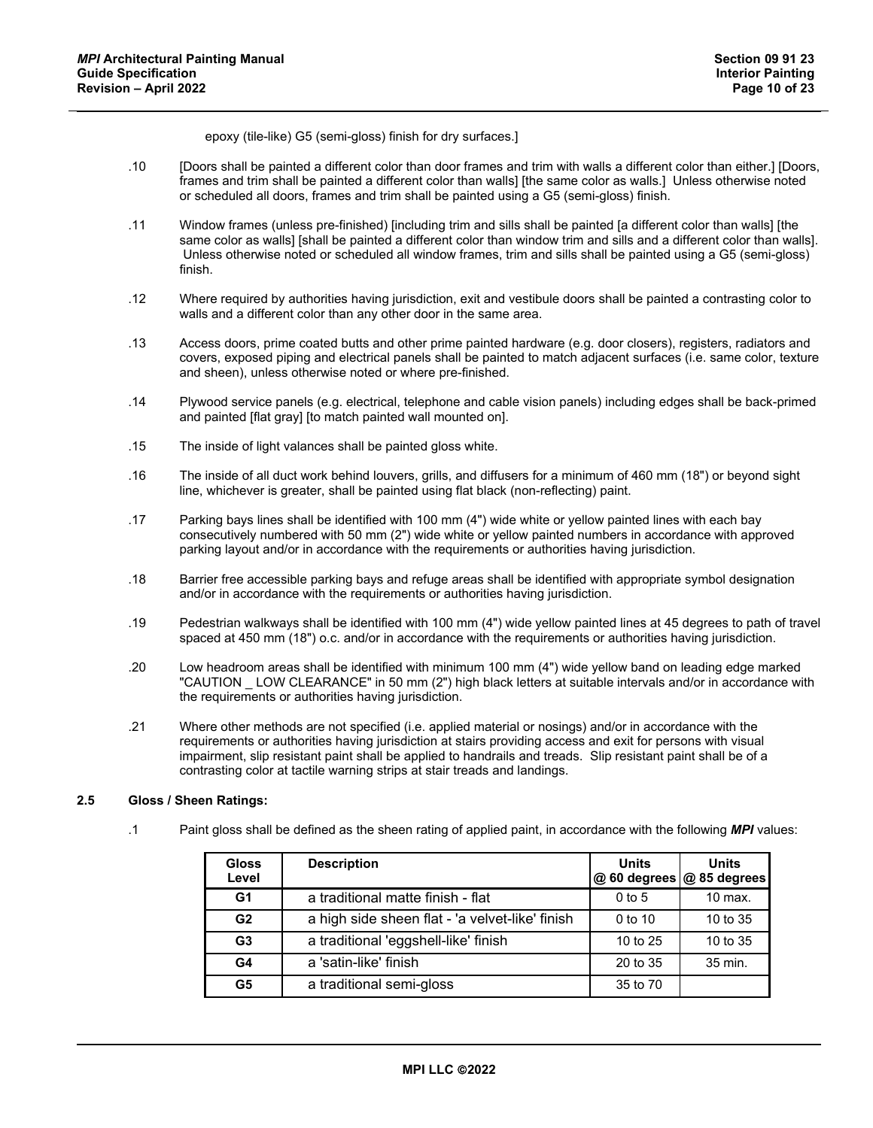epoxy (tile-like) G5 (semi-gloss) finish for dry surfaces.]

- .10 [Doors shall be painted a different color than door frames and trim with walls a different color than either.] [Doors, frames and trim shall be painted a different color than walls] [the same color as walls.] Unless otherwise noted or scheduled all doors, frames and trim shall be painted using a G5 (semi-gloss) finish.
- .11 Window frames (unless pre-finished) [including trim and sills shall be painted [a different color than walls] [the same color as walls] [shall be painted a different color than window trim and sills and a different color than walls]. Unless otherwise noted or scheduled all window frames, trim and sills shall be painted using a G5 (semi-gloss) finish.
- .12 Where required by authorities having jurisdiction, exit and vestibule doors shall be painted a contrasting color to walls and a different color than any other door in the same area.
- .13 Access doors, prime coated butts and other prime painted hardware (e.g. door closers), registers, radiators and covers, exposed piping and electrical panels shall be painted to match adjacent surfaces (i.e. same color, texture and sheen), unless otherwise noted or where pre-finished.
- .14 Plywood service panels (e.g. electrical, telephone and cable vision panels) including edges shall be back-primed and painted [flat gray] [to match painted wall mounted on].
- .15 The inside of light valances shall be painted gloss white.
- .16 The inside of all duct work behind louvers, grills, and diffusers for a minimum of 460 mm (18") or beyond sight line, whichever is greater, shall be painted using flat black (non-reflecting) paint.
- .17 Parking bays lines shall be identified with 100 mm (4") wide white or yellow painted lines with each bay consecutively numbered with 50 mm (2") wide white or yellow painted numbers in accordance with approved parking layout and/or in accordance with the requirements or authorities having jurisdiction.
- .18 Barrier free accessible parking bays and refuge areas shall be identified with appropriate symbol designation and/or in accordance with the requirements or authorities having jurisdiction.
- .19 Pedestrian walkways shall be identified with 100 mm (4") wide yellow painted lines at 45 degrees to path of travel spaced at 450 mm (18") o.c. and/or in accordance with the requirements or authorities having jurisdiction.
- .20 Low headroom areas shall be identified with minimum 100 mm (4") wide yellow band on leading edge marked "CAUTION \_ LOW CLEARANCE" in 50 mm (2") high black letters at suitable intervals and/or in accordance with the requirements or authorities having jurisdiction.
- .21 Where other methods are not specified (i.e. applied material or nosings) and/or in accordance with the requirements or authorities having jurisdiction at stairs providing access and exit for persons with visual impairment, slip resistant paint shall be applied to handrails and treads. Slip resistant paint shall be of a contrasting color at tactile warning strips at stair treads and landings.

# **2.5 Gloss / Sheen Ratings:**

.1 Paint gloss shall be defined as the sheen rating of applied paint, in accordance with the following *MPI* values:

| <b>Gloss</b><br>Level | <b>Description</b>                              | <b>Units</b> | <b>Units</b><br>@ 60 degrees @ 85 degrees |
|-----------------------|-------------------------------------------------|--------------|-------------------------------------------|
| G1                    | a traditional matte finish - flat               | $0$ to 5     | $10$ max.                                 |
| G <sub>2</sub>        | a high side sheen flat - 'a velvet-like' finish | 0 to 10      | 10 to 35                                  |
| G <sub>3</sub>        | a traditional 'eggshell-like' finish            | 10 to 25     | 10 to 35                                  |
| G4                    | a 'satin-like' finish                           | 20 to 35     | 35 min.                                   |
| G <sub>5</sub>        | a traditional semi-gloss                        | 35 to 70     |                                           |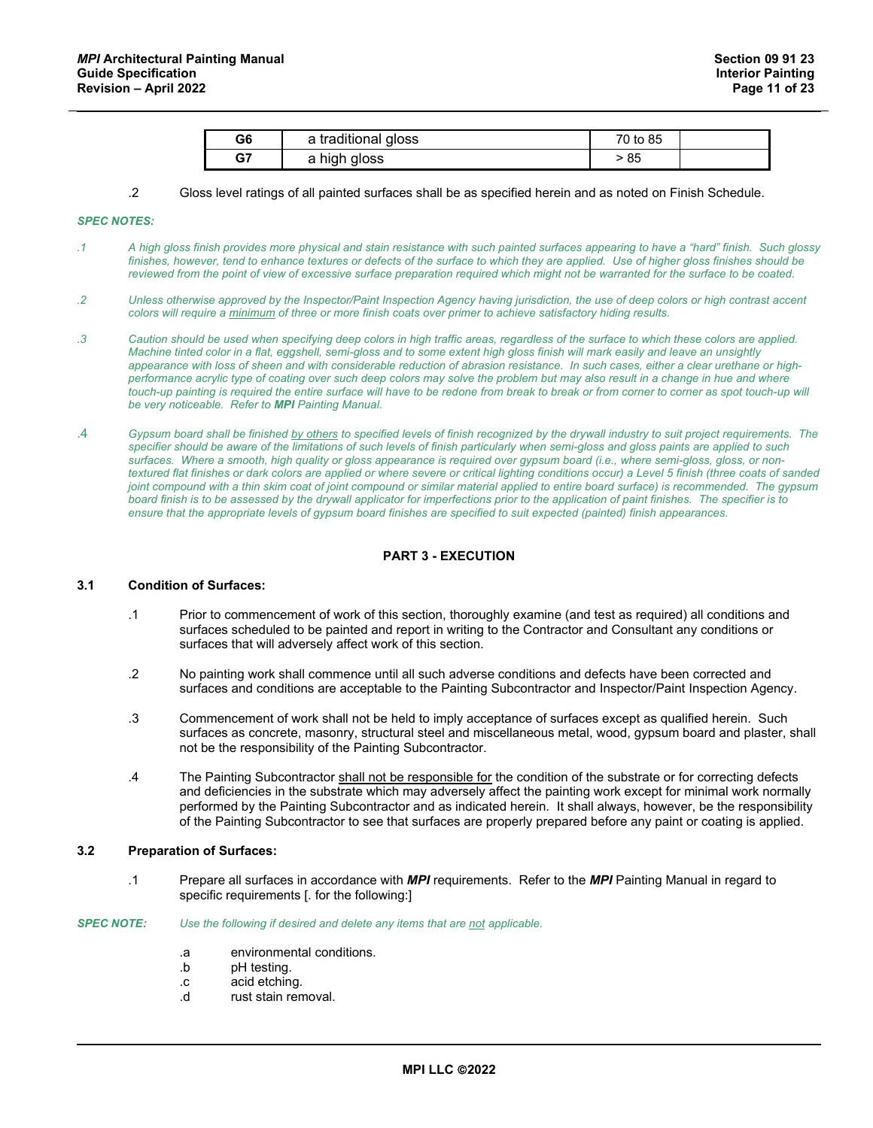| G6 | a traditional gloss | 70 to 85 |  |
|----|---------------------|----------|--|
| G7 | a high gloss        | 85       |  |

#### .2 Gloss level ratings of all painted surfaces shall be as specified herein and as noted on Finish Schedule.

#### *SPEC NOTES:*

- *.1 A high gloss finish provides more physical and stain resistance with such painted surfaces appearing to have a "hard" finish. Such glossy*  finishes, however, tend to enhance textures or defects of the surface to which they are applied. Use of higher gloss finishes should be *reviewed from the point of view of excessive surface preparation required which might not be warranted for the surface to be coated.*
- *.2 Unless otherwise approved by the Inspector/Paint Inspection Agency having jurisdiction, the use of deep colors or high contrast accent colors will require a minimum of three or more finish coats over primer to achieve satisfactory hiding results.*
- *.3 Caution should be used when specifying deep colors in high traffic areas, regardless of the surface to which these colors are applied. Machine tinted color in a flat, eggshell, semi-gloss and to some extent high gloss finish will mark easily and leave an unsightly appearance with loss of sheen and with considerable reduction of abrasion resistance. In such cases, either a clear urethane or high*performance acrylic type of coating over such deep colors may solve the problem but may also result in a change in hue and where *touch-up painting is required the entire surface will have to be redone from break to break or from corner to corner as spot touch-up will be very noticeable. Refer to MPI Painting Manual.*
- .4 *Gypsum board shall be finished by others to specified levels of finish recognized by the drywall industry to suit project requirements. The specifier should be aware of the limitations of such levels of finish particularly when semi-gloss and gloss paints are applied to such surfaces. Where a smooth, high quality or gloss appearance is required over gypsum board (i.e., where semi-gloss, gloss, or nontextured flat finishes or dark colors are applied or where severe or critical lighting conditions occur) a Level 5 finish (three coats of sanded joint compound with a thin skim coat of joint compound or similar material applied to entire board surface) is recommended. The gypsum board finish is to be assessed by the drywall applicator for imperfections prior to the application of paint finishes. The specifier is to ensure that the appropriate levels of gypsum board finishes are specified to suit expected (painted) finish appearances.*

# **PART 3 - EXECUTION**

#### **3.1 Condition of Surfaces:**

- .1 Prior to commencement of work of this section, thoroughly examine (and test as required) all conditions and surfaces scheduled to be painted and report in writing to the Contractor and Consultant any conditions or surfaces that will adversely affect work of this section.
- .2 No painting work shall commence until all such adverse conditions and defects have been corrected and surfaces and conditions are acceptable to the Painting Subcontractor and Inspector/Paint Inspection Agency.
- .3 Commencement of work shall not be held to imply acceptance of surfaces except as qualified herein. Such surfaces as concrete, masonry, structural steel and miscellaneous metal, wood, gypsum board and plaster, shall not be the responsibility of the Painting Subcontractor.
- .4 The Painting Subcontractor shall not be responsible for the condition of the substrate or for correcting defects and deficiencies in the substrate which may adversely affect the painting work except for minimal work normally performed by the Painting Subcontractor and as indicated herein. It shall always, however, be the responsibility of the Painting Subcontractor to see that surfaces are properly prepared before any paint or coating is applied.

#### **3.2 Preparation of Surfaces:**

.1 Prepare all surfaces in accordance with *MPI* requirements. Refer to the *MPI* Painting Manual in regard to specific requirements [. for the following:]

#### *SPEC NOTE: Use the following if desired and delete any items that are not applicable.*

- .a environmental conditions.
- .b pH testing.
- .c acid etching.
- rust stain removal.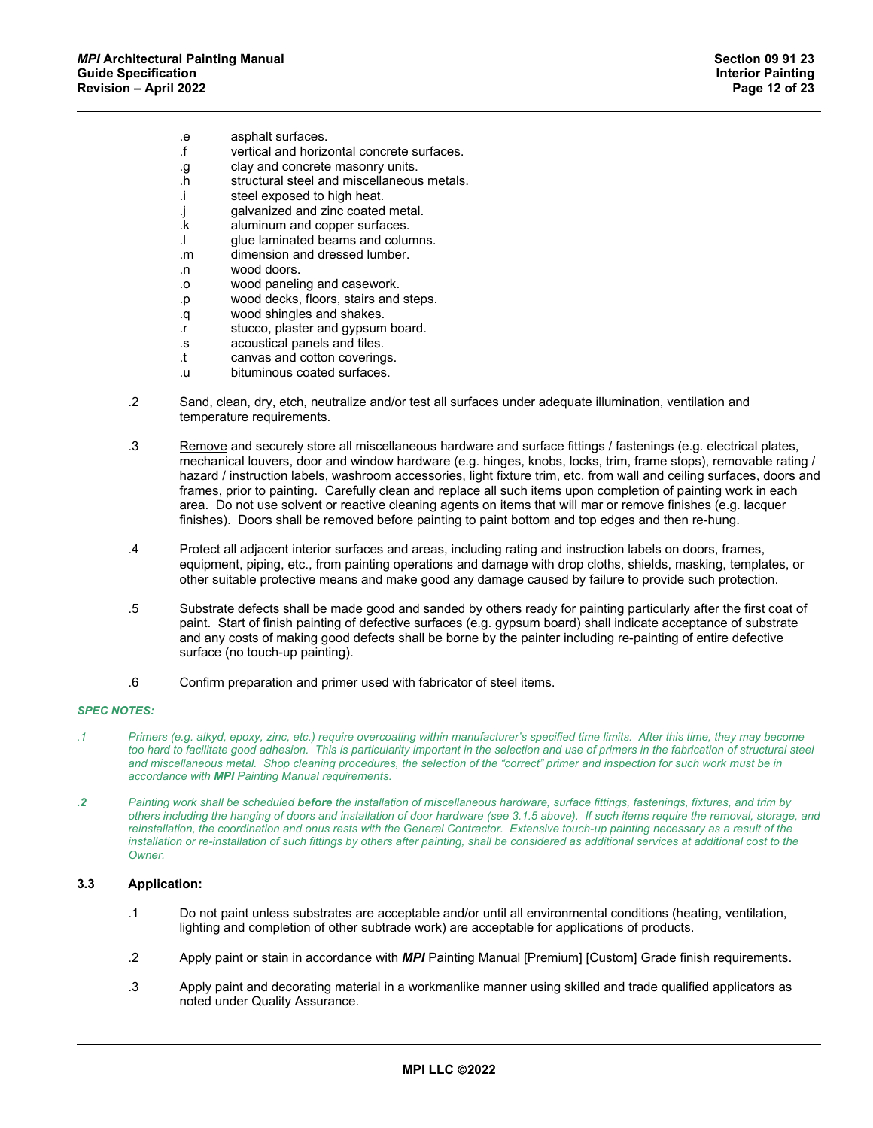- .e asphalt surfaces.
- vertical and horizontal concrete surfaces.
- .g clay and concrete masonry units.
- .h structural steel and miscellaneous metals.
- .i steel exposed to high heat.
- .j galvanized and zinc coated metal.
- aluminum and copper surfaces.
- .l glue laminated beams and columns.
- .m dimension and dressed lumber.
- .n wood doors.
- .o wood paneling and casework.
- .p wood decks, floors, stairs and steps.
- .q wood shingles and shakes.
- .r stucco, plaster and gypsum board.
- .s acoustical panels and tiles.
- .t canvas and cotton coverings.
- .u bituminous coated surfaces.
- .2 Sand, clean, dry, etch, neutralize and/or test all surfaces under adequate illumination, ventilation and temperature requirements.
- .3 Remove and securely store all miscellaneous hardware and surface fittings / fastenings (e.g. electrical plates, mechanical louvers, door and window hardware (e.g. hinges, knobs, locks, trim, frame stops), removable rating / hazard / instruction labels, washroom accessories, light fixture trim, etc. from wall and ceiling surfaces, doors and frames, prior to painting. Carefully clean and replace all such items upon completion of painting work in each area. Do not use solvent or reactive cleaning agents on items that will mar or remove finishes (e.g. lacquer finishes). Doors shall be removed before painting to paint bottom and top edges and then re-hung.
- .4 Protect all adjacent interior surfaces and areas, including rating and instruction labels on doors, frames, equipment, piping, etc., from painting operations and damage with drop cloths, shields, masking, templates, or other suitable protective means and make good any damage caused by failure to provide such protection.
- .5 Substrate defects shall be made good and sanded by others ready for painting particularly after the first coat of paint. Start of finish painting of defective surfaces (e.g. gypsum board) shall indicate acceptance of substrate and any costs of making good defects shall be borne by the painter including re-painting of entire defective surface (no touch-up painting).
- .6 Confirm preparation and primer used with fabricator of steel items.

## *SPEC NOTES:*

- *.1 Primers (e.g. alkyd, epoxy, zinc, etc.) require overcoating within manufacturer's specified time limits. After this time, they may become*  too hard to facilitate good adhesion. This is particularity important in the selection and use of primers in the fabrication of structural steel and miscellaneous metal. Shop cleaning procedures, the selection of the "correct" primer and inspection for such work must be in *accordance with MPI Painting Manual requirements.*
- *.2 Painting work shall be scheduled before the installation of miscellaneous hardware, surface fittings, fastenings, fixtures, and trim by others including the hanging of doors and installation of door hardware (see 3.1.5 above). If such items require the removal, storage, and*  reinstallation, the coordination and onus rests with the General Contractor. Extensive touch-up painting necessary as a result of the installation or re-installation of such fittings by others after painting, shall be considered as additional services at additional cost to the *Owner.*

#### **3.3 Application:**

- .1 Do not paint unless substrates are acceptable and/or until all environmental conditions (heating, ventilation, lighting and completion of other subtrade work) are acceptable for applications of products.
- .2 Apply paint or stain in accordance with *MPI* Painting Manual [Premium] [Custom] Grade finish requirements.
- .3 Apply paint and decorating material in a workmanlike manner using skilled and trade qualified applicators as noted under Quality Assurance.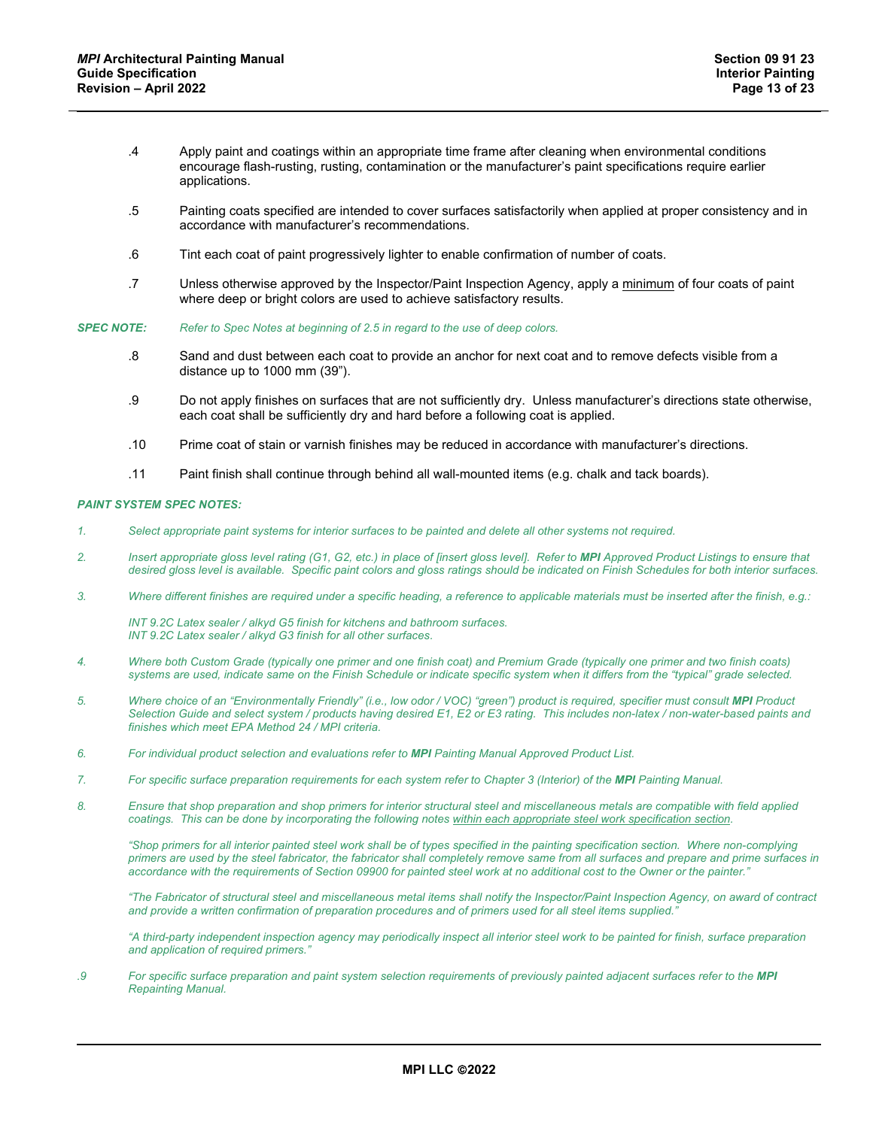- .4 Apply paint and coatings within an appropriate time frame after cleaning when environmental conditions encourage flash-rusting, rusting, contamination or the manufacturer's paint specifications require earlier applications.
- .5 Painting coats specified are intended to cover surfaces satisfactorily when applied at proper consistency and in accordance with manufacturer's recommendations.
- .6 Tint each coat of paint progressively lighter to enable confirmation of number of coats.
- .7 Unless otherwise approved by the Inspector/Paint Inspection Agency, apply a minimum of four coats of paint where deep or bright colors are used to achieve satisfactory results.
- *SPEC NOTE: Refer to Spec Notes at beginning of 2.5 in regard to the use of deep colors.*
	- .8 Sand and dust between each coat to provide an anchor for next coat and to remove defects visible from a distance up to 1000 mm (39").
	- .9 Do not apply finishes on surfaces that are not sufficiently dry. Unless manufacturer's directions state otherwise, each coat shall be sufficiently dry and hard before a following coat is applied.
	- .10 Prime coat of stain or varnish finishes may be reduced in accordance with manufacturer's directions.
	- .11 Paint finish shall continue through behind all wall-mounted items (e.g. chalk and tack boards).

#### *PAINT SYSTEM SPEC NOTES:*

- *1. Select appropriate paint systems for interior surfaces to be painted and delete all other systems not required.*
- *2. Insert appropriate gloss level rating (G1, G2, etc.) in place of [insert gloss level]. Refer to MPI Approved Product Listings to ensure that desired gloss level is available. Specific paint colors and gloss ratings should be indicated on Finish Schedules for both interior surfaces.*
- *3. Where different finishes are required under a specific heading, a reference to applicable materials must be inserted after the finish, e.g.:*

*INT 9.2C Latex sealer / alkyd G5 finish for kitchens and bathroom surfaces. INT 9.2C Latex sealer / alkyd G3 finish for all other surfaces.* 

- *4. Where both Custom Grade (typically one primer and one finish coat) and Premium Grade (typically one primer and two finish coats) systems are used, indicate same on the Finish Schedule or indicate specific system when it differs from the "typical" grade selected.*
- *5. Where choice of an "Environmentally Friendly" (i.e., low odor / VOC) "green") product is required, specifier must consult MPI Product Selection Guide and select system / products having desired E1, E2 or E3 rating. This includes non-latex / non-water-based paints and finishes which meet EPA Method 24 / MPI criteria.*
- *6. For individual product selection and evaluations refer to MPI Painting Manual Approved Product List.*
- *7. For specific surface preparation requirements for each system refer to Chapter 3 (Interior) of the MPI Painting Manual.*
- *8. Ensure that shop preparation and shop primers for interior structural steel and miscellaneous metals are compatible with field applied coatings. This can be done by incorporating the following notes within each appropriate steel work specification section.*

*"Shop primers for all interior painted steel work shall be of types specified in the painting specification section. Where non-complying primers are used by the steel fabricator, the fabricator shall completely remove same from all surfaces and prepare and prime surfaces in accordance with the requirements of Section 09900 for painted steel work at no additional cost to the Owner or the painter."* 

*"The Fabricator of structural steel and miscellaneous metal items shall notify the Inspector/Paint Inspection Agency, on award of contract and provide a written confirmation of preparation procedures and of primers used for all steel items supplied."* 

*"A third-party independent inspection agency may periodically inspect all interior steel work to be painted for finish, surface preparation and application of required primers."*

*.9 For specific surface preparation and paint system selection requirements of previously painted adjacent surfaces refer to the MPI Repainting Manual.*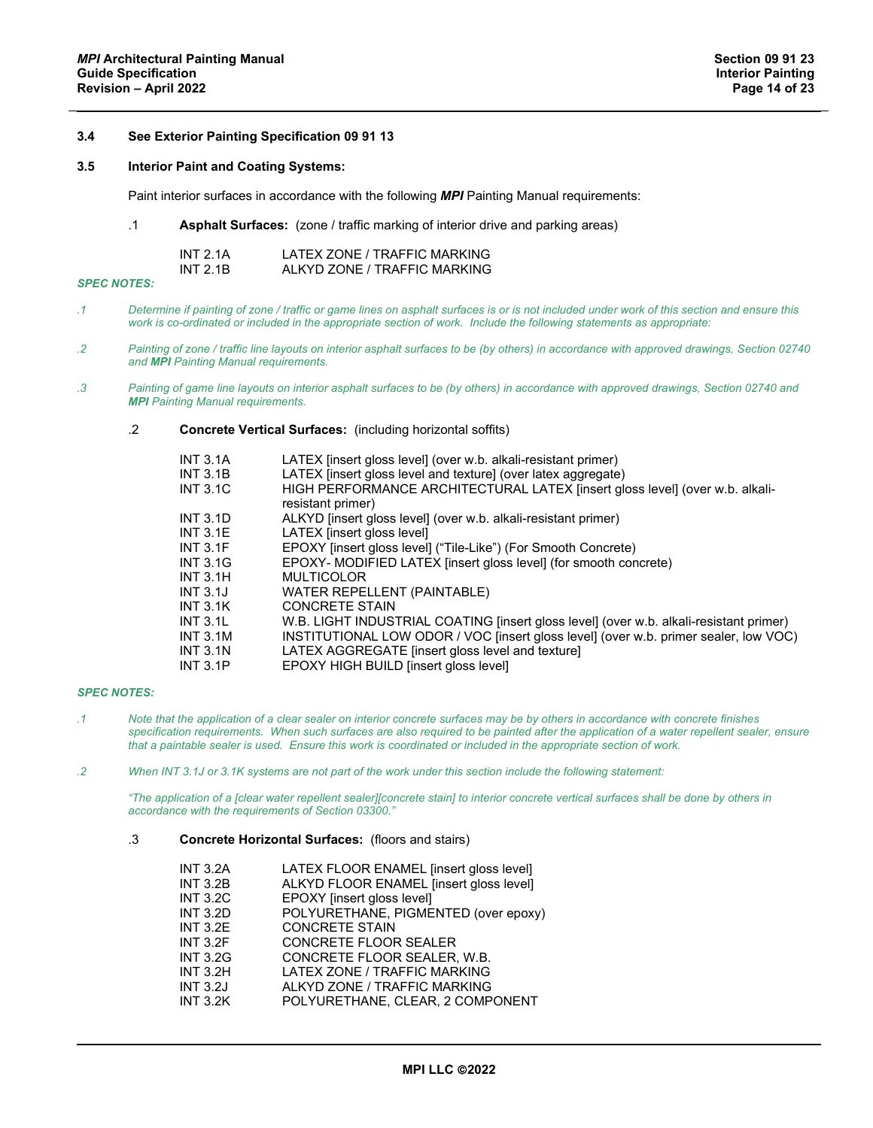## **3.4 See Exterior Painting Specification 09 91 13**

## **3.5 Interior Paint and Coating Systems:**

Paint interior surfaces in accordance with the following *MPI* Painting Manual requirements:

.1 **Asphalt Surfaces:** (zone / traffic marking of interior drive and parking areas)

| INT $2.1A$ | LATEX ZONE / TRAFFIC MARKING |
|------------|------------------------------|
| INT $2.1B$ | ALKYD ZONE / TRAFFIC MARKING |

## *SPEC NOTES:*

- *.1 Determine if painting of zone / traffic or game lines on asphalt surfaces is or is not included under work of this section and ensure this work is co-ordinated or included in the appropriate section of work. Include the following statements as appropriate:*
- *.2 Painting of zone / traffic line layouts on interior asphalt surfaces to be (by others) in accordance with approved drawings, Section 02740 and MPI Painting Manual requirements.*
- *.3 Painting of game line layouts on interior asphalt surfaces to be (by others) in accordance with approved drawings, Section 02740 and MPI Painting Manual requirements.*
	- .2 **Concrete Vertical Surfaces:** (including horizontal soffits)

| <b>INT 3.1A</b><br>INT $3.1B$ | LATEX (insert gloss level) (over w.b. alkali-resistant primer)<br>LATEX linsert gloss level and texture] (over latex aggregate) |
|-------------------------------|---------------------------------------------------------------------------------------------------------------------------------|
| <b>INT 3.1C</b>               | HIGH PERFORMANCE ARCHITECTURAL LATEX [insert gloss level] (over w.b. alkali-                                                    |
|                               | resistant primer)                                                                                                               |
| <b>INT 3.1D</b>               | ALKYD finsert gloss level (over w.b. alkali-resistant primer)                                                                   |
| INT $3.1E$                    | LATEX [insert gloss level]                                                                                                      |
| INT $3.1F$                    | EPOXY [insert gloss level] ("Tile-Like") (For Smooth Concrete)                                                                  |
| <b>INT 3.1G</b>               | EPOXY- MODIFIED LATEX [insert gloss level] (for smooth concrete)                                                                |
| INT $3.1H$                    | <b>MULTICOLOR</b>                                                                                                               |
| INT $3.1$ J                   | <b>WATER REPELLENT (PAINTABLE)</b>                                                                                              |
| INT $3.1K$                    | <b>CONCRETE STAIN</b>                                                                                                           |
| INT $3.1$                     | W.B. LIGHT INDUSTRIAL COATING [insert gloss level] (over w.b. alkali-resistant primer)                                          |
| <b>INT 3.1M</b>               | INSTITUTIONAL LOW ODOR / VOC [insert gloss level] (over w.b. primer sealer, low VOC)                                            |
| INT $3.1N$                    | LATEX AGGREGATE [insert gloss level and texture]                                                                                |
| <b>INT 3.1P</b>               | EPOXY HIGH BUILD [insert gloss level]                                                                                           |

## *SPEC NOTES:*

- *.1 Note that the application of a clear sealer on interior concrete surfaces may be by others in accordance with concrete finishes specification requirements. When such surfaces are also required to be painted after the application of a water repellent sealer, ensure that a paintable sealer is used. Ensure this work is coordinated or included in the appropriate section of work.*
- *.2 When INT 3.1J or 3.1K systems are not part of the work under this section include the following statement:*

*"The application of a [clear water repellent sealer][concrete stain] to interior concrete vertical surfaces shall be done by others in accordance with the requirements of Section 03300."*

.3 **Concrete Horizontal Surfaces:** (floors and stairs)

| <b>INT 3.2A</b> | LATEX FLOOR ENAMEL [insert gloss level] |
|-----------------|-----------------------------------------|
| <b>INT 3.2B</b> | ALKYD FLOOR ENAMEL [insert gloss level] |
| <b>INT 3.2C</b> | EPOXY [insert gloss level]              |
| <b>INT 3.2D</b> | POLYURETHANE, PIGMENTED (over epoxy)    |
| <b>INT 3.2E</b> | <b>CONCRETE STAIN</b>                   |
| <b>INT 3.2F</b> | <b>CONCRETE FLOOR SEALER</b>            |
| <b>INT 3.2G</b> | CONCRETE FLOOR SEALER, W.B.             |
| <b>INT 3.2H</b> | LATEX ZONE / TRAFFIC MARKING            |
| <b>INT 3.2J</b> | ALKYD ZONE / TRAFFIC MARKING            |
| <b>INT 3.2K</b> | POLYURETHANE, CLEAR, 2 COMPONENT        |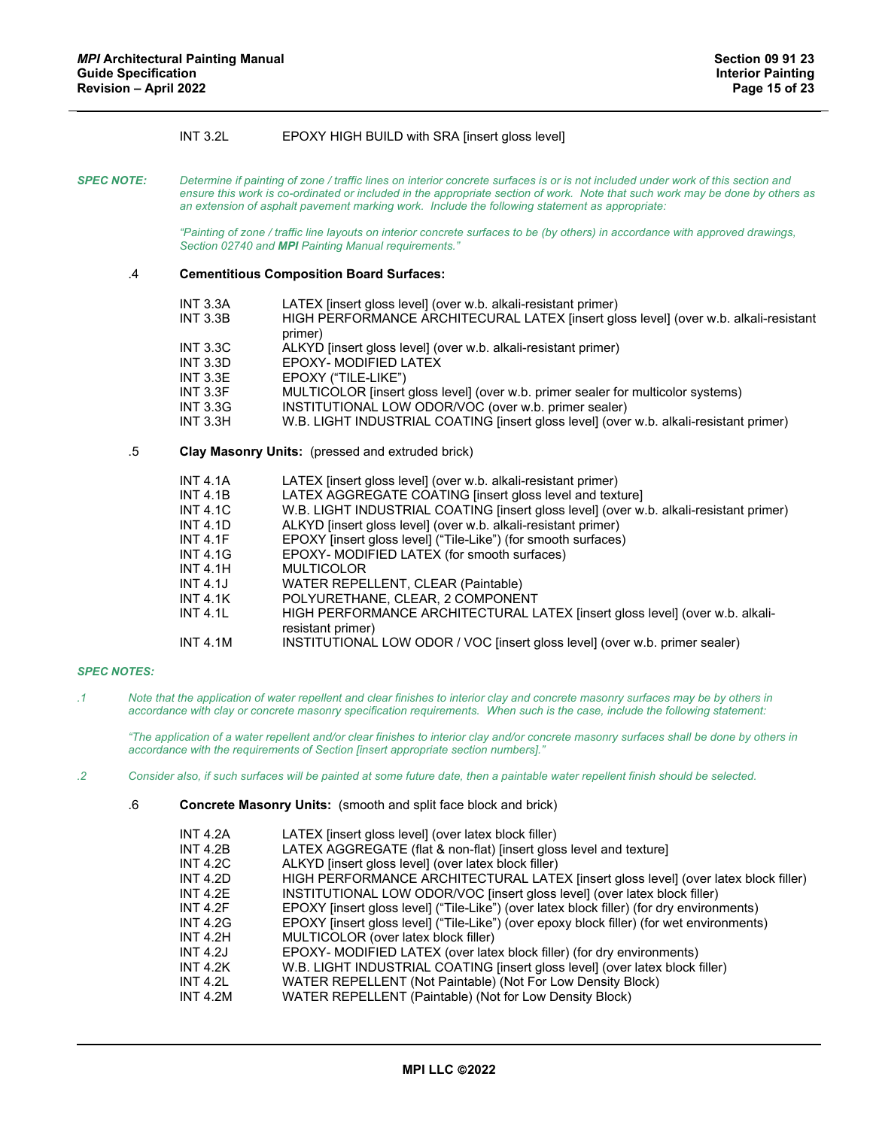# INT 3.2L EPOXY HIGH BUILD with SRA [insert gloss level]

*SPEC NOTE: Determine if painting of zone / traffic lines on interior concrete surfaces is or is not included under work of this section and ensure this work is co-ordinated or included in the appropriate section of work. Note that such work may be done by others as an extension of asphalt pavement marking work. Include the following statement as appropriate:*

> *"Painting of zone / traffic line layouts on interior concrete surfaces to be (by others) in accordance with approved drawings, Section 02740 and MPI Painting Manual requirements."*

#### .4 **Cementitious Composition Board Surfaces:**

| <b>INT 3.3A</b> | LATEX (insert gloss level) (over w.b. alkali-resistant primer)                                  |
|-----------------|-------------------------------------------------------------------------------------------------|
| <b>INT 3.3B</b> | HIGH PERFORMANCE ARCHITECURAL LATEX [insert gloss level] (over w.b. alkali-resistant<br>primer) |
|                 |                                                                                                 |
| <b>INT 3.3C</b> | ALKYD [insert gloss level] (over w.b. alkali-resistant primer)                                  |
| <b>INT 3.3D</b> | EPOXY- MODIFIED LATEX                                                                           |
| INT $3.3E$      | EPOXY ("TILE-LIKE")                                                                             |
| <b>INT 3.3F</b> | MULTICOLOR [insert gloss level] (over w.b. primer sealer for multicolor systems)                |
| <b>INT 3.3G</b> | INSTITUTIONAL LOW ODOR/VOC (over w.b. primer sealer)                                            |
| <b>INT 3.3H</b> | W.B. LIGHT INDUSTRIAL COATING [insert gloss level] (over w.b. alkali-resistant primer)          |
|                 |                                                                                                 |

#### .5 **Clay Masonry Units:** (pressed and extruded brick)

| <b>INT 4.1A</b> | LATEX [insert gloss level] (over w.b. alkali-resistant primer)                         |
|-----------------|----------------------------------------------------------------------------------------|
| <b>INT 4.1B</b> | LATEX AGGREGATE COATING [insert gloss level and texture]                               |
| <b>INT 4.1C</b> | W.B. LIGHT INDUSTRIAL COATING [insert gloss level] (over w.b. alkali-resistant primer) |
| <b>INT 4.1D</b> | ALKYD [insert gloss level] (over w.b. alkali-resistant primer)                         |
| INT 4.1F        | EPOXY [insert gloss level] ("Tile-Like") (for smooth surfaces)                         |
| <b>INT 4.1G</b> | EPOXY- MODIFIED LATEX (for smooth surfaces)                                            |
| <b>INT 4.1H</b> | <b>MULTICOLOR</b>                                                                      |
| <b>INT 4.1J</b> | WATER REPELLENT, CLEAR (Paintable)                                                     |
| INT 4.1K        | POLYURETHANE, CLEAR, 2 COMPONENT                                                       |
| INT 4.1L        | HIGH PERFORMANCE ARCHITECTURAL LATEX [insert gloss level] (over w.b. alkali-           |
|                 | resistant primer)                                                                      |
| <b>INT 4.1M</b> | INSTITUTIONAL LOW ODOR / VOC [insert gloss level] (over w.b. primer sealer)            |

### *SPEC NOTES:*

*.1 Note that the application of water repellent and clear finishes to interior clay and concrete masonry surfaces may be by others in accordance with clay or concrete masonry specification requirements. When such is the case, include the following statement:*

*"The application of a water repellent and/or clear finishes to interior clay and/or concrete masonry surfaces shall be done by others in accordance with the requirements of Section [insert appropriate section numbers]."*

#### *.2 Consider also, if such surfaces will be painted at some future date, then a paintable water repellent finish should be selected.*

.6 **Concrete Masonry Units:** (smooth and split face block and brick)

| <b>INT 4.2A</b> | LATEX (insert gloss level) (over latex block filler)                                      |
|-----------------|-------------------------------------------------------------------------------------------|
| <b>INT 4.2B</b> | LATEX AGGREGATE (flat & non-flat) [insert gloss level and texture]                        |
| <b>INT 4.2C</b> | ALKYD [insert gloss level] (over latex block filler)                                      |
| INT $4.2D$      | HIGH PERFORMANCE ARCHITECTURAL LATEX [insert gloss level] (over latex block filler)       |
| INT $4.2F$      | INSTITUTIONAL LOW ODOR/VOC [insert gloss level] (over latex block filler)                 |
| INT $4.2F$      | EPOXY [insert gloss level] ("Tile-Like") (over latex block filler) (for dry environments) |
| <b>INT 4.2G</b> | EPOXY [insert gloss level] ("Tile-Like") (over epoxy block filler) (for wet environments) |
| <b>INT 4.2H</b> | MULTICOLOR (over latex block filler)                                                      |
| INT 4.2J        | EPOXY- MODIFIED LATEX (over latex block filler) (for dry environments)                    |
| <b>INT 4.2K</b> | W.B. LIGHT INDUSTRIAL COATING [insert gloss level] (over latex block filler)              |
| <b>INT 4.2L</b> | WATER REPELLENT (Not Paintable) (Not For Low Density Block)                               |
| <b>INT 4.2M</b> | WATER REPELLENT (Paintable) (Not for Low Density Block)                                   |
|                 |                                                                                           |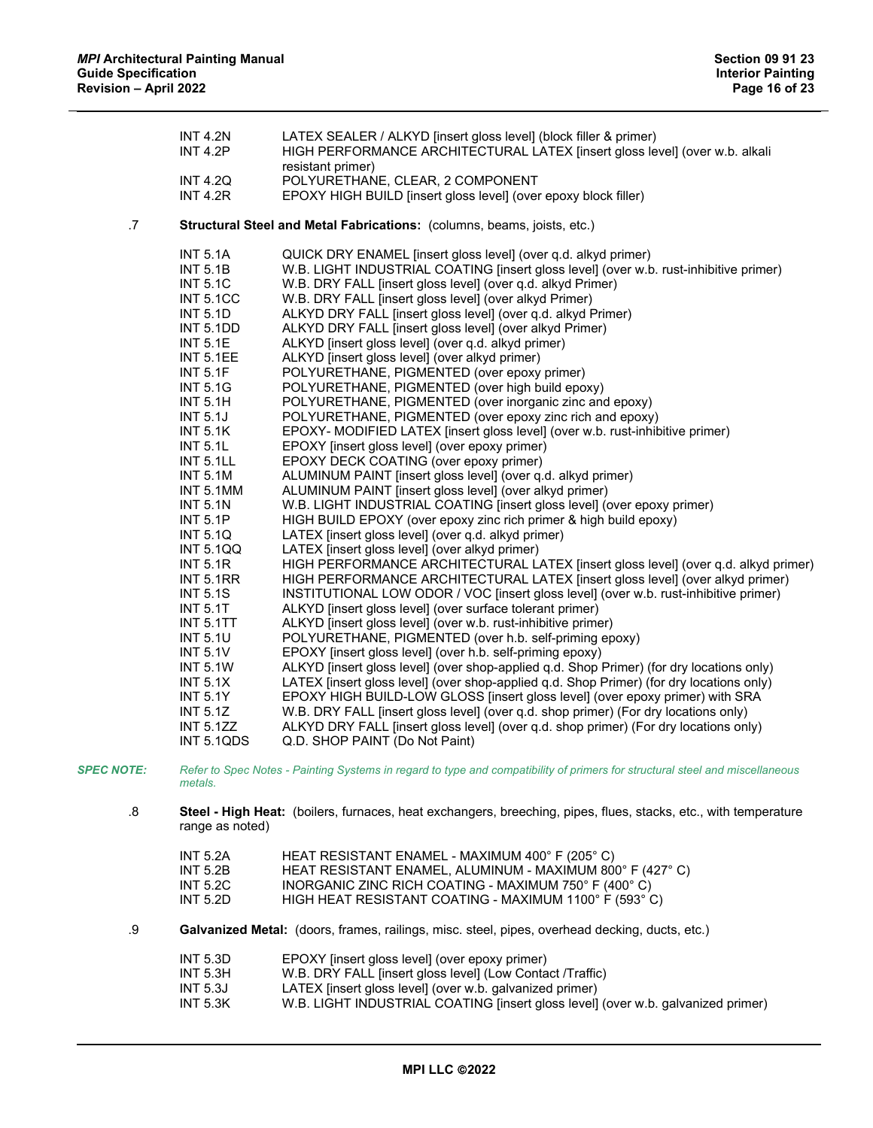|    | <b>INT 4.2N</b><br><b>INT 4.2P</b> | LATEX SEALER / ALKYD [insert gloss level] (block filler & primer)<br>HIGH PERFORMANCE ARCHITECTURAL LATEX [insert gloss level] (over w.b. alkali |
|----|------------------------------------|--------------------------------------------------------------------------------------------------------------------------------------------------|
|    |                                    | resistant primer)                                                                                                                                |
|    | <b>INT 4.2Q</b><br><b>INT 4.2R</b> | POLYURETHANE, CLEAR, 2 COMPONENT                                                                                                                 |
|    |                                    | EPOXY HIGH BUILD [insert gloss level] (over epoxy block filler)                                                                                  |
| .7 |                                    | Structural Steel and Metal Fabrications: (columns, beams, joists, etc.)                                                                          |
|    | <b>INT 5.1A</b>                    | QUICK DRY ENAMEL [insert gloss level] (over q.d. alkyd primer)                                                                                   |
|    | <b>INT 5.1B</b>                    | W.B. LIGHT INDUSTRIAL COATING [insert gloss level] (over w.b. rust-inhibitive primer)                                                            |
|    | <b>INT 5.1C</b>                    | W.B. DRY FALL [insert gloss level] (over q.d. alkyd Primer)                                                                                      |
|    | <b>INT 5.1CC</b>                   | W.B. DRY FALL [insert gloss level] (over alkyd Primer)                                                                                           |
|    | <b>INT 5.1D</b>                    | ALKYD DRY FALL [insert gloss level] (over q.d. alkyd Primer)                                                                                     |
|    | <b>INT 5.1DD</b>                   | ALKYD DRY FALL [insert gloss level] (over alkyd Primer)                                                                                          |
|    | <b>INT 5.1E</b>                    | ALKYD [insert gloss level] (over q.d. alkyd primer)                                                                                              |
|    | <b>INT 5.1EE</b>                   | ALKYD [insert gloss level] (over alkyd primer)                                                                                                   |
|    | <b>INT 5.1F</b>                    | POLYURETHANE, PIGMENTED (over epoxy primer)                                                                                                      |
|    | <b>INT 5.1G</b>                    | POLYURETHANE, PIGMENTED (over high build epoxy)                                                                                                  |
|    | <b>INT 5.1H</b>                    | POLYURETHANE, PIGMENTED (over inorganic zinc and epoxy)                                                                                          |
|    | <b>INT 5.1J</b>                    | POLYURETHANE, PIGMENTED (over epoxy zinc rich and epoxy)                                                                                         |
|    | <b>INT 5.1K</b>                    | EPOXY- MODIFIED LATEX [insert gloss level] (over w.b. rust-inhibitive primer)                                                                    |
|    | <b>INT 5.1L</b>                    | EPOXY [insert gloss level] (over epoxy primer)                                                                                                   |
|    | <b>INT 5.1LL</b>                   | EPOXY DECK COATING (over epoxy primer)                                                                                                           |
|    | <b>INT 5.1M</b>                    | ALUMINUM PAINT [insert gloss level] (over q.d. alkyd primer)                                                                                     |
|    | INT 5.1MM                          | ALUMINUM PAINT [insert gloss level] (over alkyd primer)                                                                                          |
|    | <b>INT 5.1N</b>                    | W.B. LIGHT INDUSTRIAL COATING [insert gloss level] (over epoxy primer)                                                                           |
|    | <b>INT 5.1P</b>                    | HIGH BUILD EPOXY (over epoxy zinc rich primer & high build epoxy)                                                                                |
|    | <b>INT 5.1Q</b>                    | LATEX [insert gloss level] (over q.d. alkyd primer)                                                                                              |
|    | <b>INT 5.1QQ</b>                   | LATEX [insert gloss level] (over alkyd primer)                                                                                                   |
|    | <b>INT 5.1R</b>                    | HIGH PERFORMANCE ARCHITECTURAL LATEX [insert gloss level] (over q.d. alkyd primer)                                                               |
|    | <b>INT 5.1RR</b>                   | HIGH PERFORMANCE ARCHITECTURAL LATEX [insert gloss level] (over alkyd primer)                                                                    |
|    | <b>INT 5.1S</b>                    | INSTITUTIONAL LOW ODOR / VOC [insert gloss level] (over w.b. rust-inhibitive primer)                                                             |
|    | <b>INT 5.1T</b>                    | ALKYD [insert gloss level] (over surface tolerant primer)                                                                                        |
|    | <b>INT 5.1TT</b>                   | ALKYD [insert gloss level] (over w.b. rust-inhibitive primer)                                                                                    |
|    | <b>INT 5.1U</b>                    | POLYURETHANE, PIGMENTED (over h.b. self-priming epoxy)                                                                                           |
|    | <b>INT 5.1V</b>                    | EPOXY [insert gloss level] (over h.b. self-priming epoxy)                                                                                        |
|    | <b>INT 5.1W</b>                    | ALKYD [insert gloss level] (over shop-applied q.d. Shop Primer) (for dry locations only)                                                         |
|    | INT $5.1X$                         | LATEX [insert gloss level] (over shop-applied q.d. Shop Primer) (for dry locations only)                                                         |
|    | <b>INT 5.1Y</b>                    | EPOXY HIGH BUILD-LOW GLOSS [insert gloss level] (over epoxy primer) with SRA                                                                     |
|    | <b>INT 5.1Z</b>                    | W.B. DRY FALL [insert gloss level] (over q.d. shop primer) (For dry locations only)                                                              |
|    | <b>INT 5.1ZZ</b>                   | ALKYD DRY FALL [insert gloss level] (over q.d. shop primer) (For dry locations only)                                                             |
|    | INT 5.1QDS                         | Q.D. SHOP PAINT (Do Not Paint)                                                                                                                   |
|    |                                    |                                                                                                                                                  |

*SPEC NOTE: Refer to Spec Notes - Painting Systems in regard to type and compatibility of primers for structural steel and miscellaneous metals.*

.8 **Steel - High Heat:** (boilers, furnaces, heat exchangers, breeching, pipes, flues, stacks, etc., with temperature range as noted)

| INT 5.2A | HEAT RESISTANT ENAMEL - MAXIMUM 400°F (205°C)             |
|----------|-----------------------------------------------------------|
| INT 5.2B | HEAT RESISTANT ENAMEL, ALUMINUM - MAXIMUM 800° F (427° C) |
| INT 5.2C | INORGANIC ZINC RICH COATING - MAXIMUM 750° F (400° C)     |
| INT 5.2D | HIGH HEAT RESISTANT COATING - MAXIMUM 1100° F (593° C)    |

.9 **Galvanized Metal:** (doors, frames, railings, misc. steel, pipes, overhead decking, ducts, etc.)

| <b>INT 5.3D</b> | EPOXY [insert gloss level] (over epoxy primer)                                   |
|-----------------|----------------------------------------------------------------------------------|
| <b>INT 5.3H</b> | W.B. DRY FALL [insert gloss level] (Low Contact /Traffic)                        |
| INT 5.3J        | LATEX (insert gloss level) (over w.b. galvanized primer)                         |
| <b>INT 5.3K</b> | W.B. LIGHT INDUSTRIAL COATING [insert gloss level] (over w.b. galvanized primer) |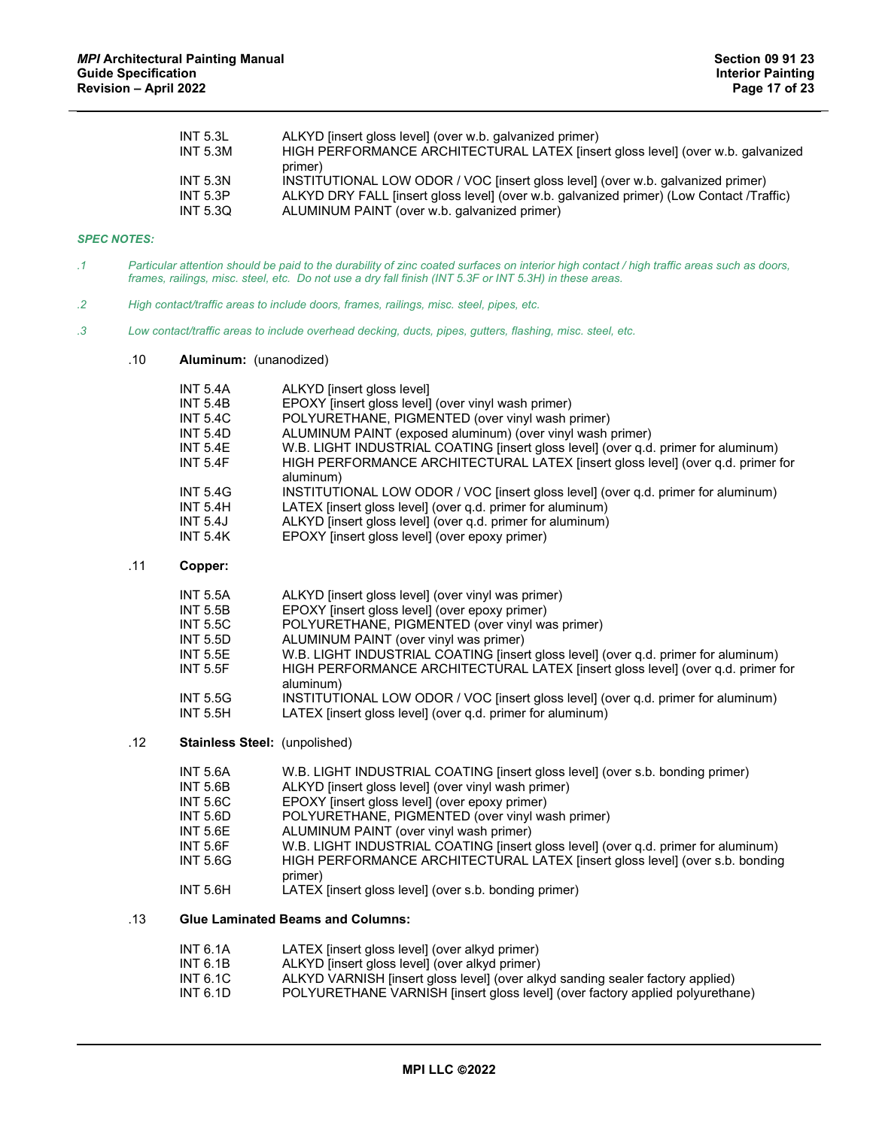| INT $5.3L$<br><b>INT 5.3M</b> | ALKYD [insert gloss level] (over w.b. galvanized primer)<br>HIGH PERFORMANCE ARCHITECTURAL LATEX [insert gloss level] (over w.b. galvanized<br>primer) |
|-------------------------------|--------------------------------------------------------------------------------------------------------------------------------------------------------|
| <b>INT 5.3N</b>               | INSTITUTIONAL LOW ODOR / VOC [insert gloss level] (over w.b. galvanized primer)                                                                        |
| INT $5.3P$                    | ALKYD DRY FALL [insert gloss level] (over w.b. galvanized primer) (Low Contact /Traffic)                                                               |
| INT 5.3Q                      | ALUMINUM PAINT (over w.b. galvanized primer)                                                                                                           |

# *SPEC NOTES:*

- *.1 Particular attention should be paid to the durability of zinc coated surfaces on interior high contact / high traffic areas such as doors, frames, railings, misc. steel, etc. Do not use a dry fall finish (INT 5.3F or INT 5.3H) in these areas.*
- *.2 High contact/traffic areas to include doors, frames, railings, misc. steel, pipes, etc.*
- *.3 Low contact/traffic areas to include overhead decking, ducts, pipes, gutters, flashing, misc. steel, etc.*

## .10 **Aluminum:** (unanodized)

| <b>INT 5.4A</b>               | ALKYD [insert gloss level]                                                                                                                                                         |
|-------------------------------|------------------------------------------------------------------------------------------------------------------------------------------------------------------------------------|
| <b>INT 5.4B</b>               | EPOXY [insert gloss level] (over vinyl wash primer)                                                                                                                                |
| <b>INT 5.4C</b>               | POLYURETHANE, PIGMENTED (over vinyl wash primer)                                                                                                                                   |
| <b>INT 5.4D</b>               | ALUMINUM PAINT (exposed aluminum) (over vinyl wash primer)                                                                                                                         |
| <b>INT 5.4E</b><br>INT $5.4F$ | W.B. LIGHT INDUSTRIAL COATING [insert gloss level] (over q.d. primer for aluminum)<br>HIGH PERFORMANCE ARCHITECTURAL LATEX [insert gloss level] (over q.d. primer for<br>aluminum) |
| <b>INT 5.4G</b>               | INSTITUTIONAL LOW ODOR / VOC [insert gloss level] (over q.d. primer for aluminum)                                                                                                  |
| <b>INT 5.4H</b>               | LATEX [insert gloss level] (over q.d. primer for aluminum)                                                                                                                         |
| <b>INT 5.4J</b>               | ALKYD [insert gloss level] (over q.d. primer for aluminum)                                                                                                                         |
| <b>INT 5.4K</b>               | EPOXY [insert gloss level] (over epoxy primer)                                                                                                                                     |

## .11 **Copper:**

| <b>INT 5.5A</b> | ALKYD finsert gloss level (over vinyl was primer)                                  |
|-----------------|------------------------------------------------------------------------------------|
| INT 5.5B        | EPOXY [insert gloss level] (over epoxy primer)                                     |
| INT 5.5C        | POLYURETHANE, PIGMENTED (over vinyl was primer)                                    |
| INT 5.5D        | ALUMINUM PAINT (over vinyl was primer)                                             |
| INT 5.5E        | W.B. LIGHT INDUSTRIAL COATING [insert gloss level] (over q.d. primer for aluminum) |
| <b>INT 5.5F</b> | HIGH PERFORMANCE ARCHITECTURAL LATEX [insert gloss level] (over q.d. primer for    |
|                 | aluminum)                                                                          |
| INT 5.5G        | INSTITUTIONAL LOW ODOR / VOC [insert gloss level] (over q.d. primer for aluminum)  |
| INT 5.5H        | LATEX [insert gloss level] (over q.d. primer for aluminum)                         |

## .12 **Stainless Steel:** (unpolished)

| <b>INT 5.6A</b> | W.B. LIGHT INDUSTRIAL COATING [insert gloss level] (over s.b. bonding primer)      |
|-----------------|------------------------------------------------------------------------------------|
| INT 5.6B        | ALKYD [insert gloss level] (over vinyl wash primer)                                |
| INT 5.6C        | EPOXY [insert gloss level] (over epoxy primer)                                     |
| INT 5.6D        | POLYURETHANE, PIGMENTED (over vinyl wash primer)                                   |
| INT 5.6E        | ALUMINUM PAINT (over vinyl wash primer)                                            |
| INT 5.6F        | W.B. LIGHT INDUSTRIAL COATING [insert gloss level] (over q.d. primer for aluminum) |
| INT 5.6G        | HIGH PERFORMANCE ARCHITECTURAL LATEX [insert gloss level] (over s.b. bonding       |
| INT 5.6H        | primer)<br>LATEX (insert gloss level) (over s.b. bonding primer)                   |

# .13 **Glue Laminated Beams and Columns:**

| <b>INT 6.1A</b> | LATEX (insert gloss level) (over alkyd primer)                                 |
|-----------------|--------------------------------------------------------------------------------|
| INT $6.1B$      | ALKYD [insert gloss level] (over alkyd primer)                                 |
| INT 6.1C        | ALKYD VARNISH [insert gloss level] (over alkyd sanding sealer factory applied) |
| INT $6.1D$      | POLYURETHANE VARNISH [insert gloss level] (over factory applied polyurethane)  |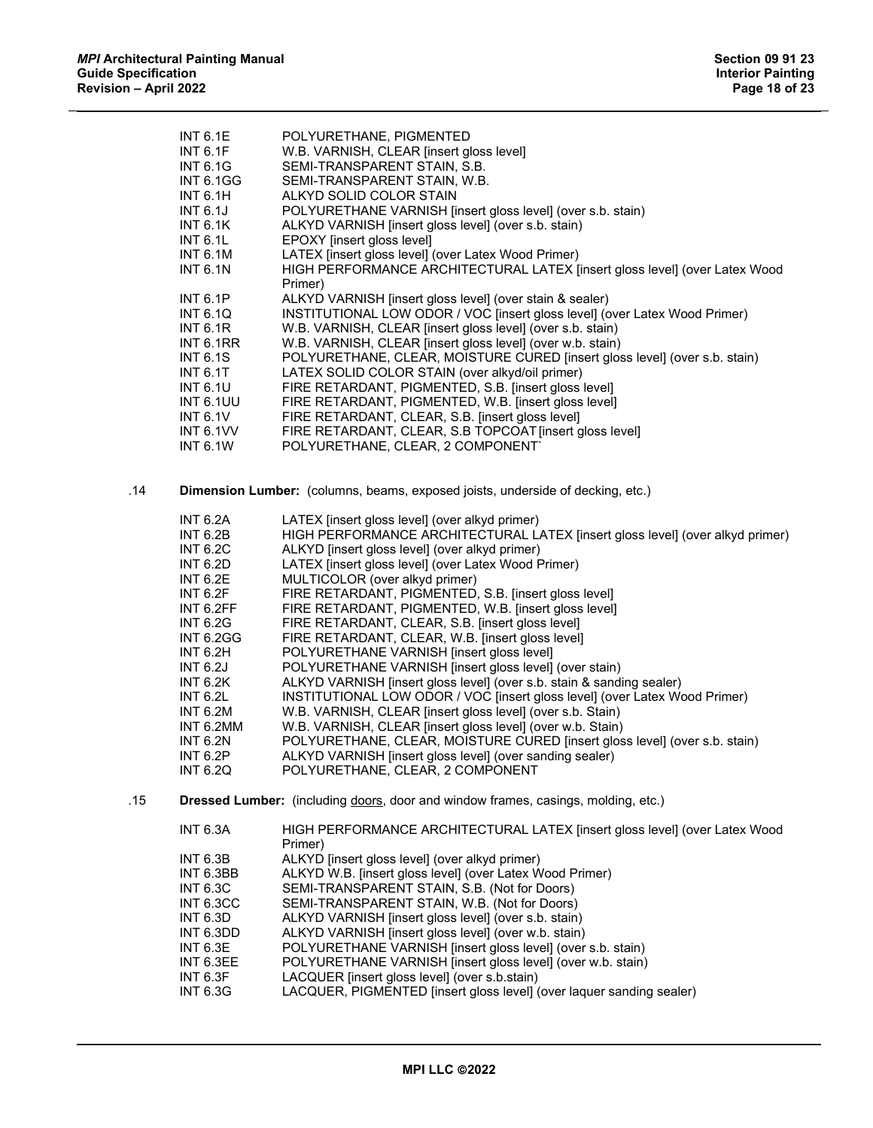|     | <b>INT 6.1E</b>  | POLYURETHANE, PIGMENTED                                                                  |
|-----|------------------|------------------------------------------------------------------------------------------|
|     | INT $6.1F$       | W.B. VARNISH, CLEAR [insert gloss level]                                                 |
|     | <b>INT 6.1G</b>  | SEMI-TRANSPARENT STAIN, S.B.                                                             |
|     | <b>INT 6.1GG</b> | SEMI-TRANSPARENT STAIN, W.B.                                                             |
|     | INT 6.1H         |                                                                                          |
|     |                  | ALKYD SOLID COLOR STAIN                                                                  |
|     | <b>INT 6.1J</b>  | POLYURETHANE VARNISH [insert gloss level] (over s.b. stain)                              |
|     | <b>INT 6.1K</b>  | ALKYD VARNISH [insert gloss level] (over s.b. stain)                                     |
|     | <b>INT 6.1L</b>  | EPOXY [insert gloss level]                                                               |
|     | <b>INT 6.1M</b>  | LATEX [insert gloss level] (over Latex Wood Primer)                                      |
|     | <b>INT 6.1N</b>  | HIGH PERFORMANCE ARCHITECTURAL LATEX [insert gloss level] (over Latex Wood               |
|     |                  | Primer)                                                                                  |
|     | <b>INT 6.1P</b>  | ALKYD VARNISH [insert gloss level] (over stain & sealer)                                 |
|     | <b>INT 6.1Q</b>  | INSTITUTIONAL LOW ODOR / VOC [insert gloss level] (over Latex Wood Primer)               |
|     | INT 6.1R         | W.B. VARNISH, CLEAR [insert gloss level] (over s.b. stain)                               |
|     | <b>INT 6.1RR</b> | W.B. VARNISH, CLEAR [insert gloss level] (over w.b. stain)                               |
|     | <b>INT 6.1S</b>  | POLYURETHANE, CLEAR, MOISTURE CURED [insert gloss level] (over s.b. stain)               |
|     | <b>INT 6.1T</b>  | LATEX SOLID COLOR STAIN (over alkyd/oil primer)                                          |
|     | <b>INT 6.1U</b>  | FIRE RETARDANT, PIGMENTED, S.B. [insert gloss level]                                     |
|     | <b>INT 6.1UU</b> | FIRE RETARDANT, PIGMENTED, W.B. [insert gloss level]                                     |
|     | INT $6.1V$       | FIRE RETARDANT, CLEAR, S.B. [insert gloss level]                                         |
|     | <b>INT 6.1VV</b> | FIRE RETARDANT, CLEAR, S.B TOPCOAT [insert gloss level]                                  |
|     | <b>INT 6.1W</b>  | POLYURETHANE, CLEAR, 2 COMPONENT`                                                        |
|     |                  |                                                                                          |
|     |                  |                                                                                          |
| .14 |                  | Dimension Lumber: (columns, beams, exposed joists, underside of decking, etc.)           |
|     | <b>INT 6.2A</b>  | LATEX [insert gloss level] (over alkyd primer)                                           |
|     | <b>INT 6.2B</b>  | HIGH PERFORMANCE ARCHITECTURAL LATEX [insert gloss level] (over alkyd primer)            |
|     | <b>INT 6.2C</b>  | ALKYD [insert gloss level] (over alkyd primer)                                           |
|     | <b>INT 6.2D</b>  | LATEX [insert gloss level] (over Latex Wood Primer)                                      |
|     |                  |                                                                                          |
|     | <b>INT 6.2E</b>  | MULTICOLOR (over alkyd primer)                                                           |
|     | <b>INT 6.2F</b>  | FIRE RETARDANT, PIGMENTED, S.B. [insert gloss level]                                     |
|     | INT 6.2FF        | FIRE RETARDANT, PIGMENTED, W.B. [insert gloss level]                                     |
|     | <b>INT 6.2G</b>  | FIRE RETARDANT, CLEAR, S.B. [insert gloss level]                                         |
|     | <b>INT 6.2GG</b> | FIRE RETARDANT, CLEAR, W.B. [insert gloss level]                                         |
|     | <b>INT 6.2H</b>  | POLYURETHANE VARNISH [insert gloss level]                                                |
|     | <b>INT 6.2J</b>  | POLYURETHANE VARNISH [insert gloss level] (over stain)                                   |
|     | <b>INT 6.2K</b>  | ALKYD VARNISH [insert gloss level] (over s.b. stain & sanding sealer)                    |
|     | <b>INT 6.2L</b>  | INSTITUTIONAL LOW ODOR / VOC [insert gloss level] (over Latex Wood Primer)               |
|     | <b>INT 6.2M</b>  | W.B. VARNISH, CLEAR [insert gloss level] (over s.b. Stain)                               |
|     | INT 6.2MM        | W.B. VARNISH, CLEAR [insert gloss level] (over w.b. Stain)                               |
|     | <b>INT 6.2N</b>  | POLYURETHANE, CLEAR, MOISTURE CURED [insert gloss level] (over s.b. stain)               |
|     | INT 6.2P         | ALKYD VARNISH [insert gloss level] (over sanding sealer)                                 |
|     | <b>INT 6.2Q</b>  | POLYURETHANE, CLEAR, 2 COMPONENT                                                         |
| .15 |                  | <b>Dressed Lumber:</b> (including doors, door and window frames, casings, molding, etc.) |
|     |                  |                                                                                          |
|     | <b>INT 6.3A</b>  | HIGH PERFORMANCE ARCHITECTURAL LATEX [insert gloss level] (over Latex Wood<br>Primer)    |
|     | <b>INT 6.3B</b>  | ALKYD [insert gloss level] (over alkyd primer)                                           |
|     | INT 6.3BB        | ALKYD W.B. [insert gloss level] (over Latex Wood Primer)                                 |
|     | <b>INT 6.3C</b>  | SEMI-TRANSPARENT STAIN, S.B. (Not for Doors)                                             |
|     | <b>INT 6.3CC</b> | SEMI-TRANSPARENT STAIN, W.B. (Not for Doors)                                             |
|     | <b>INT 6.3D</b>  | ALKYD VARNISH [insert gloss level] (over s.b. stain)                                     |
|     | INT 6.3DD        | ALKYD VARNISH [insert gloss level] (over w.b. stain)                                     |
|     | <b>INT 6.3E</b>  | POLYURETHANE VARNISH [insert gloss level] (over s.b. stain)                              |
|     | INT 6.3EE        | POLYURETHANE VARNISH [insert gloss level] (over w.b. stain)                              |
|     | <b>INT 6.3F</b>  | LACQUER [insert gloss level] (over s.b.stain)                                            |
|     | <b>INT 6.3G</b>  | LACQUER, PIGMENTED [insert gloss level] (over laquer sanding sealer)                     |
|     |                  |                                                                                          |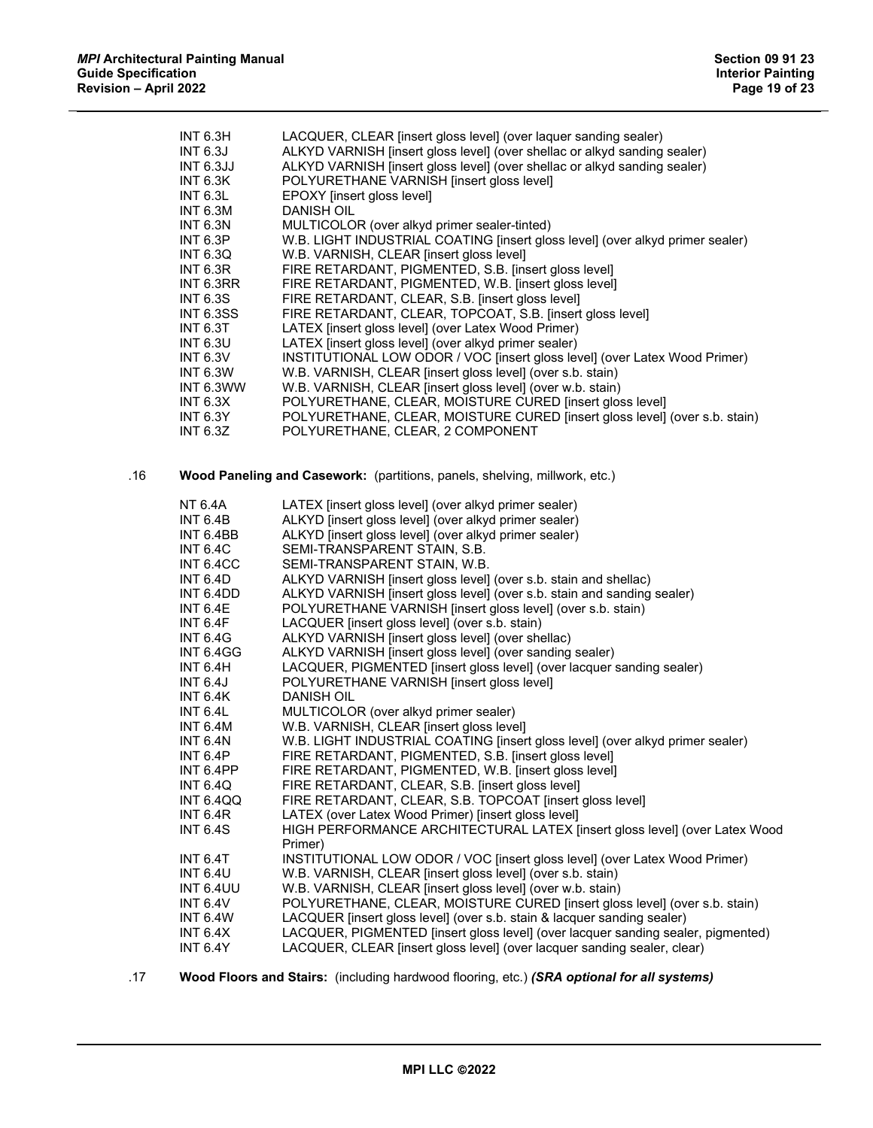|     | <b>INT 6.3H</b>  | LACQUER, CLEAR [insert gloss level] (over laquer sanding sealer)                 |
|-----|------------------|----------------------------------------------------------------------------------|
|     | <b>INT 6.3J</b>  | ALKYD VARNISH [insert gloss level] (over shellac or alkyd sanding sealer)        |
|     | <b>INT 6.3JJ</b> | ALKYD VARNISH [insert gloss level] (over shellac or alkyd sanding sealer)        |
|     | <b>INT 6.3K</b>  | POLYURETHANE VARNISH [insert gloss level]                                        |
|     | <b>INT 6.3L</b>  | EPOXY [insert gloss level]                                                       |
|     | <b>INT 6.3M</b>  | <b>DANISH OIL</b>                                                                |
|     | <b>INT 6.3N</b>  | MULTICOLOR (over alkyd primer sealer-tinted)                                     |
|     | <b>INT 6.3P</b>  | W.B. LIGHT INDUSTRIAL COATING [insert gloss level] (over alkyd primer sealer)    |
|     | <b>INT 6.3Q</b>  | W.B. VARNISH, CLEAR [insert gloss level]                                         |
|     | <b>INT 6.3R</b>  | FIRE RETARDANT, PIGMENTED, S.B. [insert gloss level]                             |
|     |                  | FIRE RETARDANT, PIGMENTED, W.B. [insert gloss level]                             |
|     | INT 6.3RR        |                                                                                  |
|     | <b>INT 6.3S</b>  | FIRE RETARDANT, CLEAR, S.B. [insert gloss level]                                 |
|     | <b>INT 6.3SS</b> | FIRE RETARDANT, CLEAR, TOPCOAT, S.B. [insert gloss level]                        |
|     | <b>INT 6.3T</b>  | LATEX [insert gloss level] (over Latex Wood Primer)                              |
|     | <b>INT 6.3U</b>  | LATEX [insert gloss level] (over alkyd primer sealer)                            |
|     | <b>INT 6.3V</b>  | INSTITUTIONAL LOW ODOR / VOC [insert gloss level] (over Latex Wood Primer)       |
|     | <b>INT 6.3W</b>  | W.B. VARNISH, CLEAR [insert gloss level] (over s.b. stain)                       |
|     | INT 6.3WW        | W.B. VARNISH, CLEAR [insert gloss level] (over w.b. stain)                       |
|     | INT 6.3X         | POLYURETHANE, CLEAR, MOISTURE CURED [insert gloss level]                         |
|     | <b>INT 6.3Y</b>  | POLYURETHANE, CLEAR, MOISTURE CURED [insert gloss level] (over s.b. stain)       |
|     | <b>INT 6.3Z</b>  | POLYURETHANE, CLEAR, 2 COMPONENT                                                 |
|     |                  |                                                                                  |
| .16 |                  | Wood Paneling and Casework: (partitions, panels, shelving, millwork, etc.)       |
|     |                  |                                                                                  |
|     | <b>NT 6.4A</b>   | LATEX [insert gloss level] (over alkyd primer sealer)                            |
|     | <b>INT 6.4B</b>  | ALKYD [insert gloss level] (over alkyd primer sealer)                            |
|     | INT 6.4BB        | ALKYD [insert gloss level] (over alkyd primer sealer)                            |
|     | <b>INT 6.4C</b>  | SEMI-TRANSPARENT STAIN, S.B.                                                     |
|     | INT 6.4CC        | SEMI-TRANSPARENT STAIN, W.B.                                                     |
|     | <b>INT 6.4D</b>  | ALKYD VARNISH [insert gloss level] (over s.b. stain and shellac)                 |
|     | INT 6.4DD        | ALKYD VARNISH [insert gloss level] (over s.b. stain and sanding sealer)          |
|     | <b>INT 6.4E</b>  | POLYURETHANE VARNISH [insert gloss level] (over s.b. stain)                      |
|     | <b>INT 6.4F</b>  | LACQUER [insert gloss level] (over s.b. stain)                                   |
|     | <b>INT 6.4G</b>  | ALKYD VARNISH [insert gloss level] (over shellac)                                |
|     | <b>INT 6.4GG</b> | ALKYD VARNISH [insert gloss level] (over sanding sealer)                         |
|     | <b>INT 6.4H</b>  | LACQUER, PIGMENTED [insert gloss level] (over lacquer sanding sealer)            |
|     | <b>INT 6.4J</b>  | POLYURETHANE VARNISH [insert gloss level]                                        |
|     | <b>INT 6.4K</b>  | <b>DANISH OIL</b>                                                                |
|     | INT 6.4L         | MULTICOLOR (over alkyd primer sealer)                                            |
|     | <b>INT 6.4M</b>  | W.B. VARNISH, CLEAR [insert gloss level]                                         |
|     | <b>INT 6.4N</b>  | W.B. LIGHT INDUSTRIAL COATING [insert gloss level] (over alkyd primer sealer)    |
|     | <b>INT 6.4P</b>  | FIRE RETARDANT, PIGMENTED, S.B. [insert gloss level]                             |
|     | INT 6.4PP        | FIRE RETARDANT, PIGMENTED, W.B. [insert gloss level]                             |
|     | <b>INT 6.4Q</b>  | FIRE RETARDANT, CLEAR, S.B. [insert gloss level]                                 |
|     | <b>INT 6.4QQ</b> | FIRE RETARDANT, CLEAR, S.B. TOPCOAT [insert gloss level]                         |
|     |                  | LATEX (over Latex Wood Primer) [insert gloss level]                              |
|     | <b>INT 6.4R</b>  | HIGH PERFORMANCE ARCHITECTURAL LATEX [insert gloss level] (over Latex Wood       |
|     | <b>INT 6.4S</b>  | Primer)                                                                          |
|     | <b>INT 6.4T</b>  | INSTITUTIONAL LOW ODOR / VOC [insert gloss level] (over Latex Wood Primer)       |
|     | <b>INT 6.4U</b>  | W.B. VARNISH, CLEAR [insert gloss level] (over s.b. stain)                       |
|     | <b>INT 6.4UU</b> | W.B. VARNISH, CLEAR [insert gloss level] (over w.b. stain)                       |
|     | <b>INT 6.4V</b>  | POLYURETHANE, CLEAR, MOISTURE CURED [insert gloss level] (over s.b. stain)       |
|     | <b>INT 6.4W</b>  | LACQUER [insert gloss level] (over s.b. stain & lacquer sanding sealer)          |
|     | <b>INT 6.4X</b>  | LACQUER, PIGMENTED [insert gloss level] (over lacquer sanding sealer, pigmented) |
|     | <b>INT 6.4Y</b>  | LACQUER, CLEAR [insert gloss level] (over lacquer sanding sealer, clear)         |
|     |                  |                                                                                  |

.17 **Wood Floors and Stairs:** (including hardwood flooring, etc.) *(SRA optional for all systems)*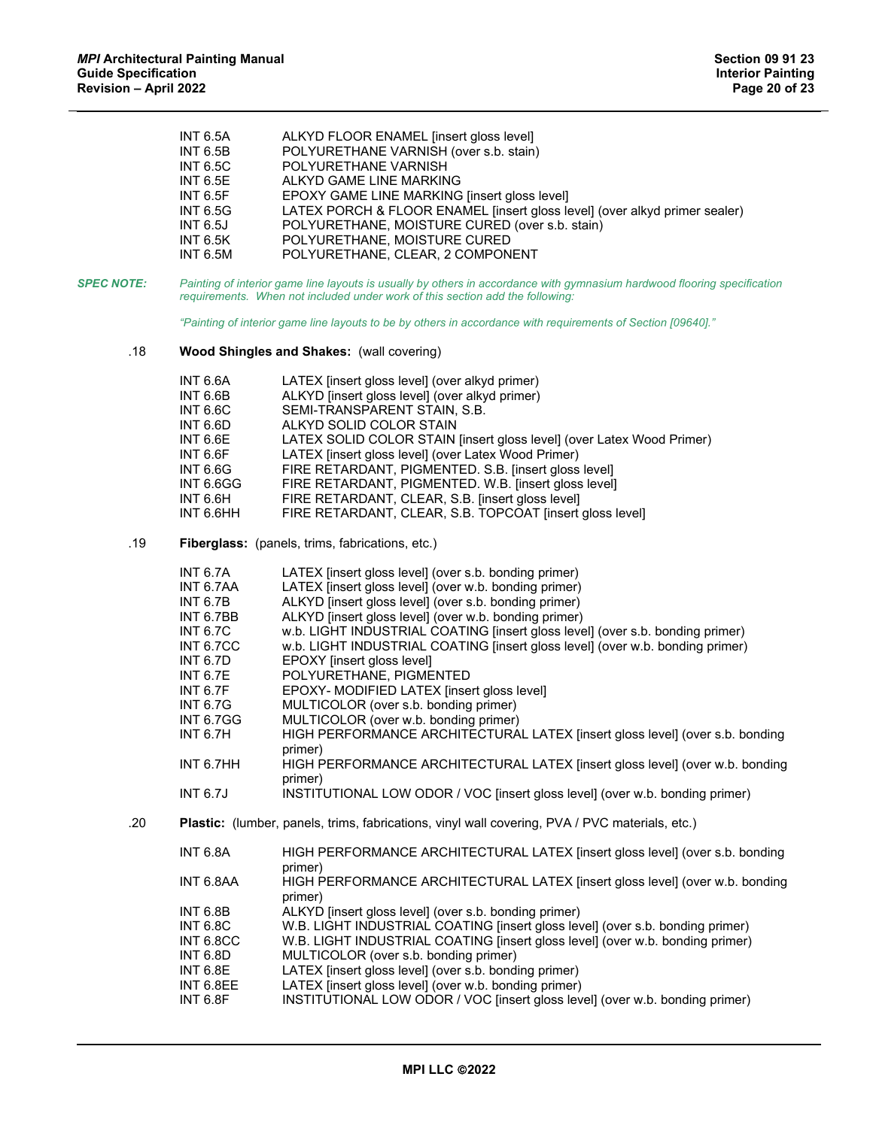|                   | <b>INT 6.5A</b><br><b>INT 6.5B</b><br><b>INT 6.5C</b><br><b>INT 6.5E</b><br><b>INT 6.5F</b><br><b>INT 6.5G</b><br><b>INT 6.5J</b><br><b>INT 6.5K</b><br><b>INT 6.5M</b>                                                                                | ALKYD FLOOR ENAMEL [insert gloss level]<br>POLYURETHANE VARNISH (over s.b. stain)<br>POLYURETHANE VARNISH<br>ALKYD GAME LINE MARKING<br>EPOXY GAME LINE MARKING [insert gloss level]<br>LATEX PORCH & FLOOR ENAMEL [insert gloss level] (over alkyd primer sealer)<br>POLYURETHANE, MOISTURE CURED (over s.b. stain)<br>POLYURETHANE, MOISTURE CURED<br>POLYURETHANE, CLEAR, 2 COMPONENT                                                                                                                                                                                                                                                                                                                                                                                                                                                                          |
|-------------------|--------------------------------------------------------------------------------------------------------------------------------------------------------------------------------------------------------------------------------------------------------|-------------------------------------------------------------------------------------------------------------------------------------------------------------------------------------------------------------------------------------------------------------------------------------------------------------------------------------------------------------------------------------------------------------------------------------------------------------------------------------------------------------------------------------------------------------------------------------------------------------------------------------------------------------------------------------------------------------------------------------------------------------------------------------------------------------------------------------------------------------------|
| <b>SPEC NOTE:</b> |                                                                                                                                                                                                                                                        | Painting of interior game line layouts is usually by others in accordance with gymnasium hardwood flooring specification<br>requirements. When not included under work of this section add the following:                                                                                                                                                                                                                                                                                                                                                                                                                                                                                                                                                                                                                                                         |
|                   |                                                                                                                                                                                                                                                        | "Painting of interior game line layouts to be by others in accordance with requirements of Section [09640]."                                                                                                                                                                                                                                                                                                                                                                                                                                                                                                                                                                                                                                                                                                                                                      |
| .18               |                                                                                                                                                                                                                                                        | <b>Wood Shingles and Shakes: (wall covering)</b>                                                                                                                                                                                                                                                                                                                                                                                                                                                                                                                                                                                                                                                                                                                                                                                                                  |
|                   | <b>INT 6.6A</b><br><b>INT 6.6B</b><br><b>INT 6.6C</b><br><b>INT 6.6D</b><br><b>INT 6.6E</b><br><b>INT 6.6F</b><br><b>INT 6.6G</b><br><b>INT 6.6GG</b><br><b>INT 6.6H</b><br>INT 6.6HH                                                                  | LATEX [insert gloss level] (over alkyd primer)<br>ALKYD [insert gloss level] (over alkyd primer)<br>SEMI-TRANSPARENT STAIN, S.B.<br>ALKYD SOLID COLOR STAIN<br>LATEX SOLID COLOR STAIN [insert gloss level] (over Latex Wood Primer)<br>LATEX [insert gloss level] (over Latex Wood Primer)<br>FIRE RETARDANT, PIGMENTED. S.B. [insert gloss level]<br>FIRE RETARDANT, PIGMENTED. W.B. [insert gloss level]<br>FIRE RETARDANT, CLEAR, S.B. [insert gloss level]<br>FIRE RETARDANT, CLEAR, S.B. TOPCOAT [insert gloss level]                                                                                                                                                                                                                                                                                                                                       |
| .19               |                                                                                                                                                                                                                                                        | Fiberglass: (panels, trims, fabrications, etc.)                                                                                                                                                                                                                                                                                                                                                                                                                                                                                                                                                                                                                                                                                                                                                                                                                   |
|                   | <b>INT 6.7A</b><br>INT 6.7AA<br><b>INT 6.7B</b><br>INT 6.7BB<br><b>INT 6.7C</b><br><b>INT 6.7CC</b><br><b>INT 6.7D</b><br><b>INT 6.7E</b><br><b>INT 6.7F</b><br><b>INT 6.7G</b><br><b>INT 6.7GG</b><br><b>INT 6.7H</b><br>INT 6.7HH<br><b>INT 6.7J</b> | LATEX [insert gloss level] (over s.b. bonding primer)<br>LATEX [insert gloss level] (over w.b. bonding primer)<br>ALKYD [insert gloss level] (over s.b. bonding primer)<br>ALKYD [insert gloss level] (over w.b. bonding primer)<br>w.b. LIGHT INDUSTRIAL COATING [insert gloss level] (over s.b. bonding primer)<br>w.b. LIGHT INDUSTRIAL COATING [insert gloss level] (over w.b. bonding primer)<br>EPOXY [insert gloss level]<br>POLYURETHANE, PIGMENTED<br>EPOXY- MODIFIED LATEX [insert gloss level]<br>MULTICOLOR (over s.b. bonding primer)<br>MULTICOLOR (over w.b. bonding primer)<br>HIGH PERFORMANCE ARCHITECTURAL LATEX [insert gloss level] (over s.b. bonding<br>primer)<br>HIGH PERFORMANCE ARCHITECTURAL LATEX [insert gloss level] (over w.b. bonding<br>primer)<br>INSTITUTIONAL LOW ODOR / VOC [insert gloss level] (over w.b. bonding primer) |
| .20               |                                                                                                                                                                                                                                                        | Plastic: (lumber, panels, trims, fabrications, vinyl wall covering, PVA / PVC materials, etc.)                                                                                                                                                                                                                                                                                                                                                                                                                                                                                                                                                                                                                                                                                                                                                                    |
|                   | <b>INT 6.8A</b>                                                                                                                                                                                                                                        | HIGH PERFORMANCE ARCHITECTURAL LATEX [insert gloss level] (over s.b. bonding<br>primer)                                                                                                                                                                                                                                                                                                                                                                                                                                                                                                                                                                                                                                                                                                                                                                           |
|                   | INT 6.8AA                                                                                                                                                                                                                                              | HIGH PERFORMANCE ARCHITECTURAL LATEX [insert gloss level] (over w.b. bonding<br>primer)                                                                                                                                                                                                                                                                                                                                                                                                                                                                                                                                                                                                                                                                                                                                                                           |
|                   | <b>INT 6.8B</b><br><b>INT 6.8C</b><br>INT 6.8CC<br><b>INT 6.8D</b><br><b>INT 6.8E</b><br>INT 6.8EE<br>INT 6.8F                                                                                                                                         | ALKYD [insert gloss level] (over s.b. bonding primer)<br>W.B. LIGHT INDUSTRIAL COATING [insert gloss level] (over s.b. bonding primer)<br>W.B. LIGHT INDUSTRIAL COATING [insert gloss level] (over w.b. bonding primer)<br>MULTICOLOR (over s.b. bonding primer)<br>LATEX [insert gloss level] (over s.b. bonding primer)<br>LATEX [insert gloss level] (over w.b. bonding primer)<br>INSTITUTIONAL LOW ODOR / VOC [insert gloss level] (over w.b. bonding primer)                                                                                                                                                                                                                                                                                                                                                                                                |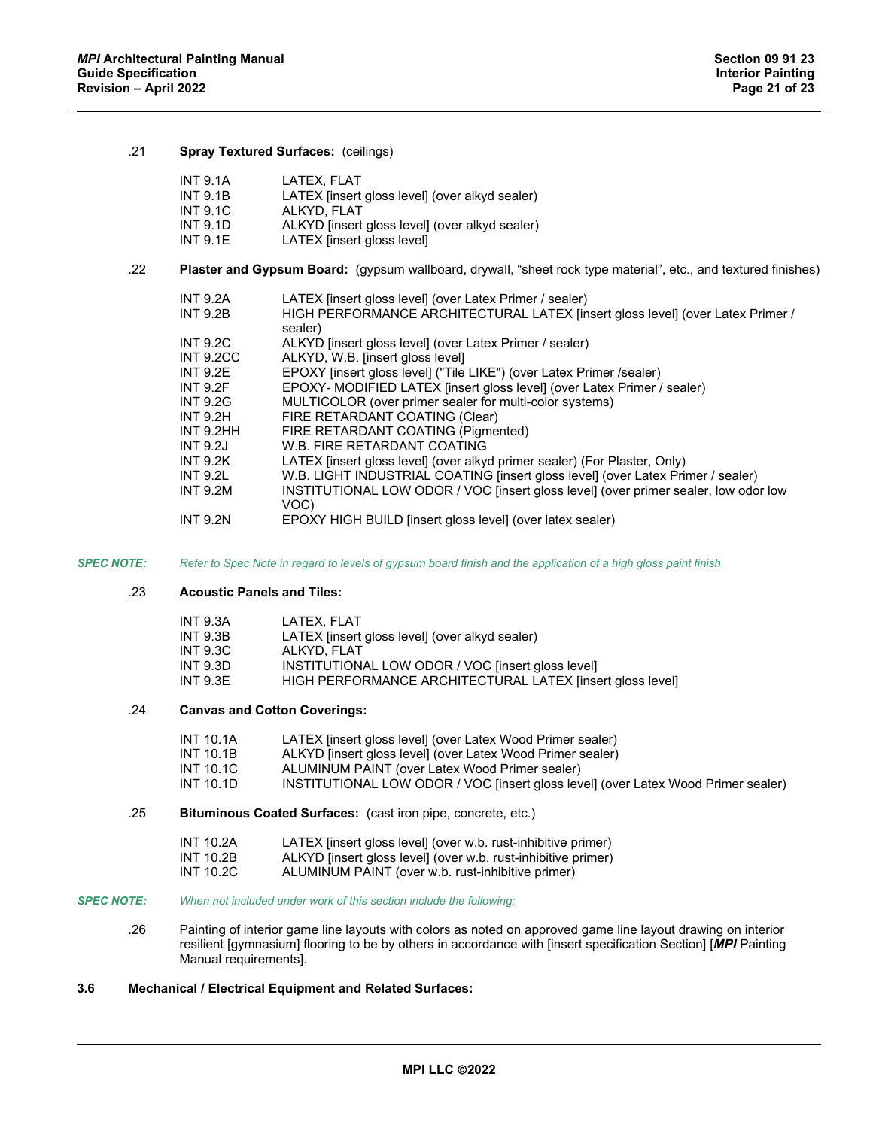## .21 **Spray Textured Surfaces:** (ceilings)

|     | <b>INT 9.1A</b>  | LATEX. FLAT                                                                                                    |
|-----|------------------|----------------------------------------------------------------------------------------------------------------|
|     | <b>INT 9.1B</b>  | LATEX [insert gloss level] (over alkyd sealer)                                                                 |
|     | <b>INT 9.1C</b>  | ALKYD. FLAT                                                                                                    |
|     | <b>INT 9.1D</b>  | ALKYD [insert gloss level] (over alkyd sealer)                                                                 |
|     | <b>INT 9.1E</b>  | LATEX [insert gloss level]                                                                                     |
| .22 |                  | Plaster and Gypsum Board: (gypsum wallboard, drywall, "sheet rock type material", etc., and textured finishes) |
|     | <b>INT 9.2A</b>  | LATEX [insert gloss level] (over Latex Primer / sealer)                                                        |
|     | <b>INT 9.2B</b>  | HIGH PERFORMANCE ARCHITECTURAL LATEX [insert gloss level] (over Latex Primer /<br>sealer)                      |
|     | <b>INT 9.2C</b>  | ALKYD [insert gloss level] (over Latex Primer / sealer)                                                        |
|     | <b>INT 9.2CC</b> | ALKYD, W.B. [insert gloss level]                                                                               |
|     | <b>INT 9.2E</b>  | EPOXY [insert gloss level] ("Tile LIKE") (over Latex Primer /sealer)                                           |
|     | <b>INT 9.2F</b>  | EPOXY- MODIFIED LATEX [insert gloss level] (over Latex Primer / sealer)                                        |
|     | <b>INT 9.2G</b>  | MULTICOLOR (over primer sealer for multi-color systems)                                                        |
|     | <b>INT 9.2H</b>  | FIRE RETARDANT COATING (Clear)                                                                                 |
|     | INT 9.2HH        | FIRE RETARDANT COATING (Pigmented)                                                                             |
|     | <b>INT 9.2J</b>  | W.B. FIRE RETARDANT COATING                                                                                    |
|     | <b>INT 9.2K</b>  | LATEX [insert gloss level] (over alkyd primer sealer) (For Plaster, Only)                                      |
|     | <b>INT 9.2L</b>  | W.B. LIGHT INDUSTRIAL COATING [insert gloss level] (over Latex Primer / sealer)                                |
|     | <b>INT 9.2M</b>  | INSTITUTIONAL LOW ODOR / VOC [insert gloss level] (over primer sealer, low odor low<br>VOC)                    |
|     | <b>INT 9.2N</b>  | EPOXY HIGH BUILD [insert gloss level] (over latex sealer)                                                      |

*SPEC NOTE: Refer to Spec Note in regard to levels of gypsum board finish and the application of a high gloss paint finish.*

# .23 **Acoustic Panels and Tiles:**

| <b>INT 9.3A</b> | LATEX. FLAT                                               |
|-----------------|-----------------------------------------------------------|
| <b>INT 9.3B</b> | LATEX [insert gloss level] (over alkyd sealer)            |
| <b>INT 9.3C</b> | ALKYD. FLAT                                               |
| INT $9.3D$      | INSTITUTIONAL LOW ODOR / VOC [insert gloss level]         |
| INT $9.3E$      | HIGH PERFORMANCE ARCHITECTURAL LATEX [insert gloss level] |

# .24 **Canvas and Cotton Coverings:**

| INT 10.1A | LATEX [insert gloss level] (over Latex Wood Primer sealer)                        |
|-----------|-----------------------------------------------------------------------------------|
| INT 10.1B | ALKYD [insert gloss level] (over Latex Wood Primer sealer)                        |
| INT 10.1C | ALUMINUM PAINT (over Latex Wood Primer sealer)                                    |
| INT 10.1D | INSTITUTIONAL LOW ODOR / VOC [insert gloss level] (over Latex Wood Primer sealer) |

.25 **Bituminous Coated Surfaces:** (cast iron pipe, concrete, etc.)

| <b>INT 10.2A</b> | LATEX [insert gloss level] (over w.b. rust-inhibitive primer) |
|------------------|---------------------------------------------------------------|
| INT 10.2B        | ALKYD [insert gloss level] (over w.b. rust-inhibitive primer) |
| INT 10.2C        | ALUMINUM PAINT (over w.b. rust-inhibitive primer)             |

# *SPEC NOTE: When not included under work of this section include the following:*

.26 Painting of interior game line layouts with colors as noted on approved game line layout drawing on interior resilient [gymnasium] flooring to be by others in accordance with [insert specification Section] [*MPI* Painting Manual requirements].

# **3.6 Mechanical / Electrical Equipment and Related Surfaces:**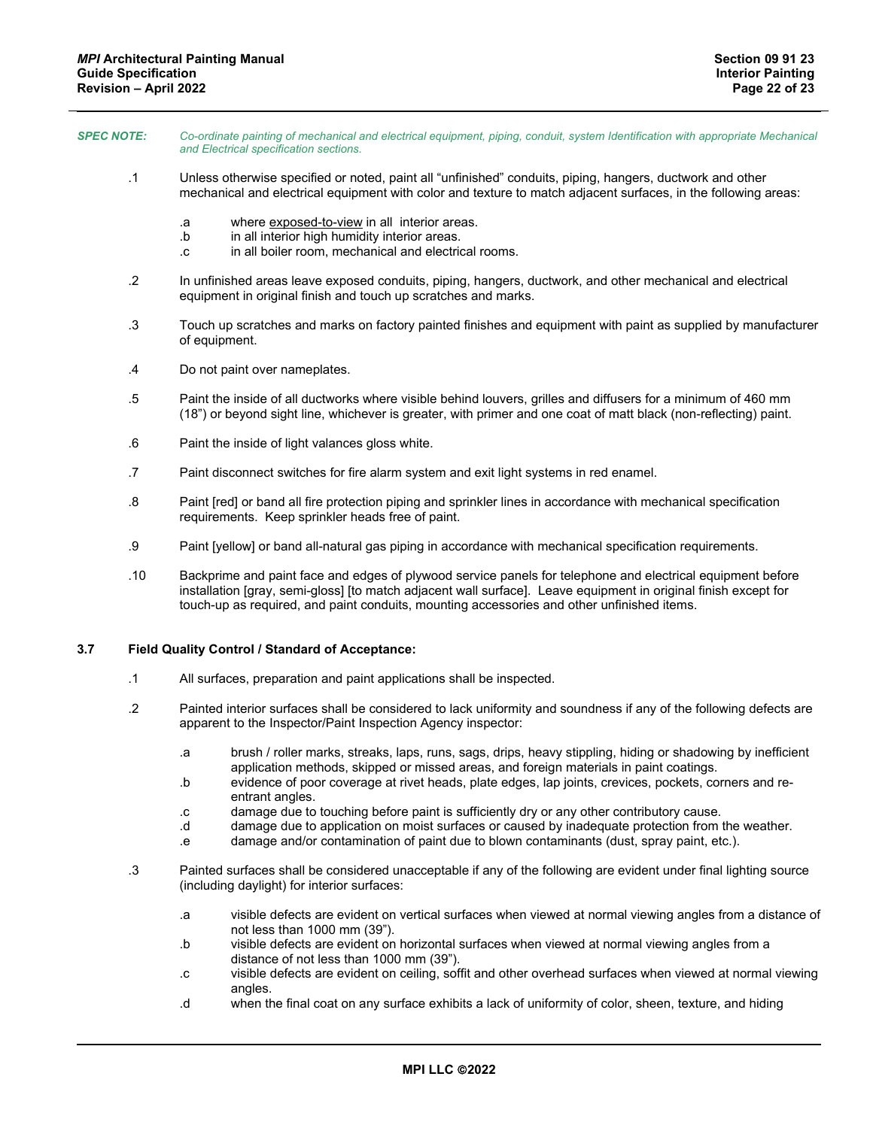| <b>SPEC NOTE:</b> | Co-ordinate painting of mechanical and electrical equipment, piping, conduit, system Identification with appropriate Mechanical<br>and Electrical specification sections. |
|-------------------|---------------------------------------------------------------------------------------------------------------------------------------------------------------------------|
|                   | Unless otherwise specified or noted inaint all "unfinished" conduits, nining hangers, ductwork and other                                                                  |

- noted, paint all "unfinished" conduits, piping, hanger mechanical and electrical equipment with color and texture to match adjacent surfaces, in the following areas:
	- .a where exposed-to-view in all interior areas.
	- .b in all interior high humidity interior areas.
	- .c in all boiler room, mechanical and electrical rooms.
- .2 In unfinished areas leave exposed conduits, piping, hangers, ductwork, and other mechanical and electrical equipment in original finish and touch up scratches and marks.
- .3 Touch up scratches and marks on factory painted finishes and equipment with paint as supplied by manufacturer of equipment.
- .4 Do not paint over nameplates.
- .5 Paint the inside of all ductworks where visible behind louvers, grilles and diffusers for a minimum of 460 mm (18") or beyond sight line, whichever is greater, with primer and one coat of matt black (non-reflecting) paint.
- .6 Paint the inside of light valances gloss white.
- .7 Paint disconnect switches for fire alarm system and exit light systems in red enamel.
- .8 Paint [red] or band all fire protection piping and sprinkler lines in accordance with mechanical specification requirements. Keep sprinkler heads free of paint.
- .9 Paint [yellow] or band all-natural gas piping in accordance with mechanical specification requirements.
- .10 Backprime and paint face and edges of plywood service panels for telephone and electrical equipment before installation [gray, semi-gloss] [to match adjacent wall surface]. Leave equipment in original finish except for touch-up as required, and paint conduits, mounting accessories and other unfinished items.

# **3.7 Field Quality Control / Standard of Acceptance:**

- .1 All surfaces, preparation and paint applications shall be inspected.
- .2 Painted interior surfaces shall be considered to lack uniformity and soundness if any of the following defects are apparent to the Inspector/Paint Inspection Agency inspector:
	- .a brush / roller marks, streaks, laps, runs, sags, drips, heavy stippling, hiding or shadowing by inefficient application methods, skipped or missed areas, and foreign materials in paint coatings.
	- .b evidence of poor coverage at rivet heads, plate edges, lap joints, crevices, pockets, corners and reentrant angles.
	- .c damage due to touching before paint is sufficiently dry or any other contributory cause.
	- .d damage due to application on moist surfaces or caused by inadequate protection from the weather.
	- .e damage and/or contamination of paint due to blown contaminants (dust, spray paint, etc.).
- .3 Painted surfaces shall be considered unacceptable if any of the following are evident under final lighting source (including daylight) for interior surfaces:
	- .a visible defects are evident on vertical surfaces when viewed at normal viewing angles from a distance of not less than 1000 mm (39").
	- .b visible defects are evident on horizontal surfaces when viewed at normal viewing angles from a distance of not less than 1000 mm (39").
	- .c visible defects are evident on ceiling, soffit and other overhead surfaces when viewed at normal viewing angles.
	- .d when the final coat on any surface exhibits a lack of uniformity of color, sheen, texture, and hiding